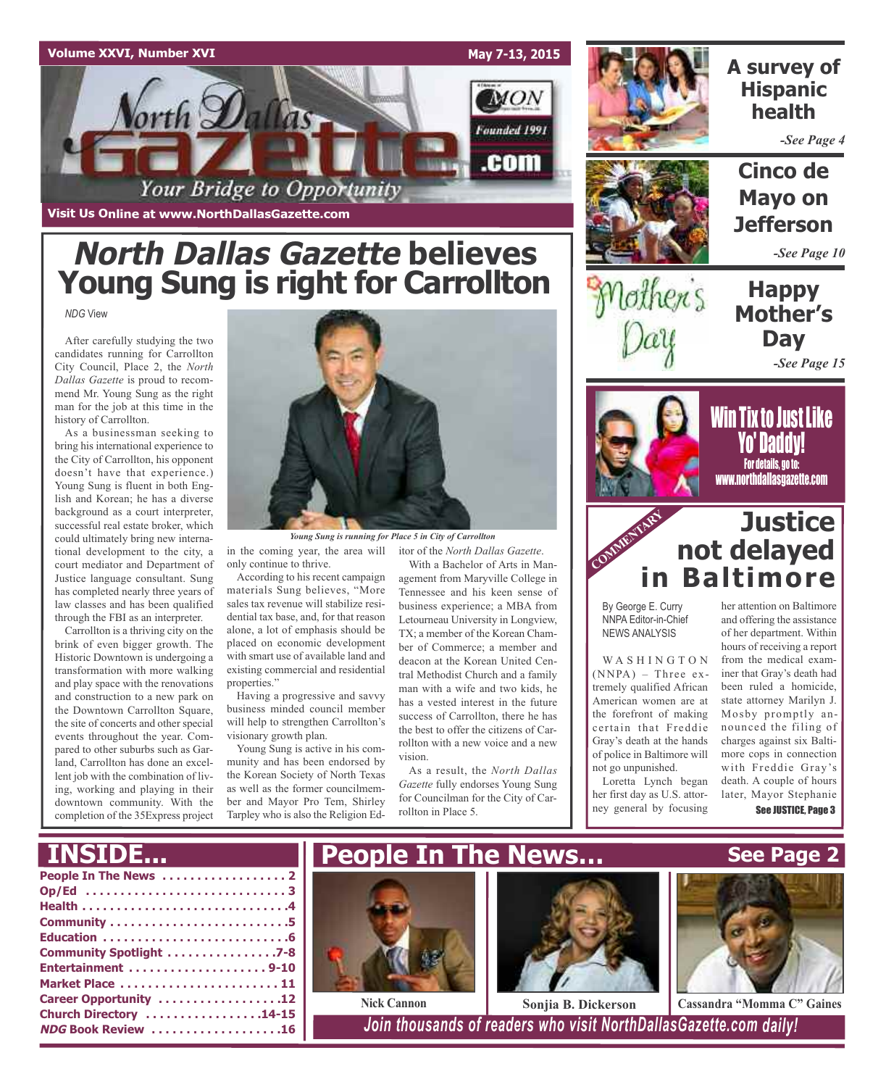

**Visit Us Online at www.NorthDallasGazette.com**

# **North Dallas Gazette believes Young Sung is right for Carrollton**

*NDG* View

After carefully studying the two candidates running for Carrollton City Council, Place 2, the *North Dallas Gazette* is proud to recommend Mr. Young Sung as the right man for the job at this time in the history of Carrollton.

As a businessman seeking to bring his international experience to the City of Carrollton, his opponent doesn't have that experience.) Young Sung is fluent in both English and Korean; he has a diverse background as a court interpreter, successful real estate broker, which could ultimately bring new international development to the city, a court mediator and Department of Justice language consultant. Sung has completed nearly three years of law classes and has been qualified through the FBI as an interpreter.

Carrollton is a thriving city on the brink of even bigger growth. The Historic Downtown is undergoing a transformation with more walking and play space with the renovations and construction to a new park on the Downtown Carrollton Square, the site of concerts and other special events throughout the year. Compared to other suburbs such as Garland, Carrollton has done an excellent job with the combination of living, working and playing in their downtown community. With the completion of the 35Express project



*Young Sung is running for Place 5 in City of Carrollton*

in the coming year, the area will itor of the *North Dallas Gazette*. only continue to thrive.

According to his recent campaign materials Sung believes, "More sales tax revenue will stabilize residential tax base, and, for that reason alone, a lot of emphasis should be placed on economic development with smart use of available land and existing commercial and residential properties."

Having a progressive and savvy business minded council member will help to strengthen Carrollton's visionary growth plan.

Young Sung is active in his community and has been endorsed by the Korean Society of North Texas as well as the former councilmember and Mayor Pro Tem, Shirley Tarpley who is also the Religion Ed-

With a Bachelor of Arts in Management from Maryville College in Tennessee and his keen sense of business experience; a MBA from Letourneau University in Longview, TX; a member of the Korean Chamber of Commerce; a member and deacon at the Korean United Central Methodist Church and a family man with a wife and two kids, he has a vested interest in the future success of Carrollton, there he has the best to offer the citizens of Carrollton with a new voice and a new vision.

As a result, the *North Dallas Gazette* fully endorses Young Sung for Councilman for the City of Carrollton in Place 5.



### **A survey of Hispanic health**

*-See Page 4*

**Cinco de Mayo on Jefferson**

*-See Page 10*

**Happy Mother's Day** *-See Page 15*



lothers

**Win Tix to Just Like** Yo' Daddy! For details, go to: www.northdallasgazette.com

### COMMENTARY **Justice not delayed in Baltimore**

By George E. Curry NNPA Editor-in-Chief NEWS ANALYSIS

WASHINGTON  $(NNPA)$  – Three extremely qualified African American women are at the forefront of making certain that Freddie Gray's death at the hands of police in Baltimore will not go unpunished.

Loretta Lynch began her first day as U.S. attorney general by focusing

her attention on Baltimore and offering the assistance of her department. Within hours of receiving a report from the medical examiner that Gray's death had been ruled a homicide, state attorney Marilyn J. Mosby promptly announced the filing of charges against six Baltimore cops in connection with Freddie Gray's death. A couple of hours later, Mayor Stephanie See JUSTICE, Page 3

**See Page 2**

### **INSIDE...**

| Community Spotlight 7-8   |
|---------------------------|
|                           |
| Market Place  11          |
| Career Opportunity 12     |
| Church Directory 14-15    |
| <b>NDG Book Review 16</b> |
|                           |







**Nick Cannon Sonjia B. Dickerson Cassandra "Momma C" Gaines**

**NDG Book Review . . . . . . . . . . . . . . . . . . .16** *Join thousands of readers who visit NorthDallasGazette.com daily!*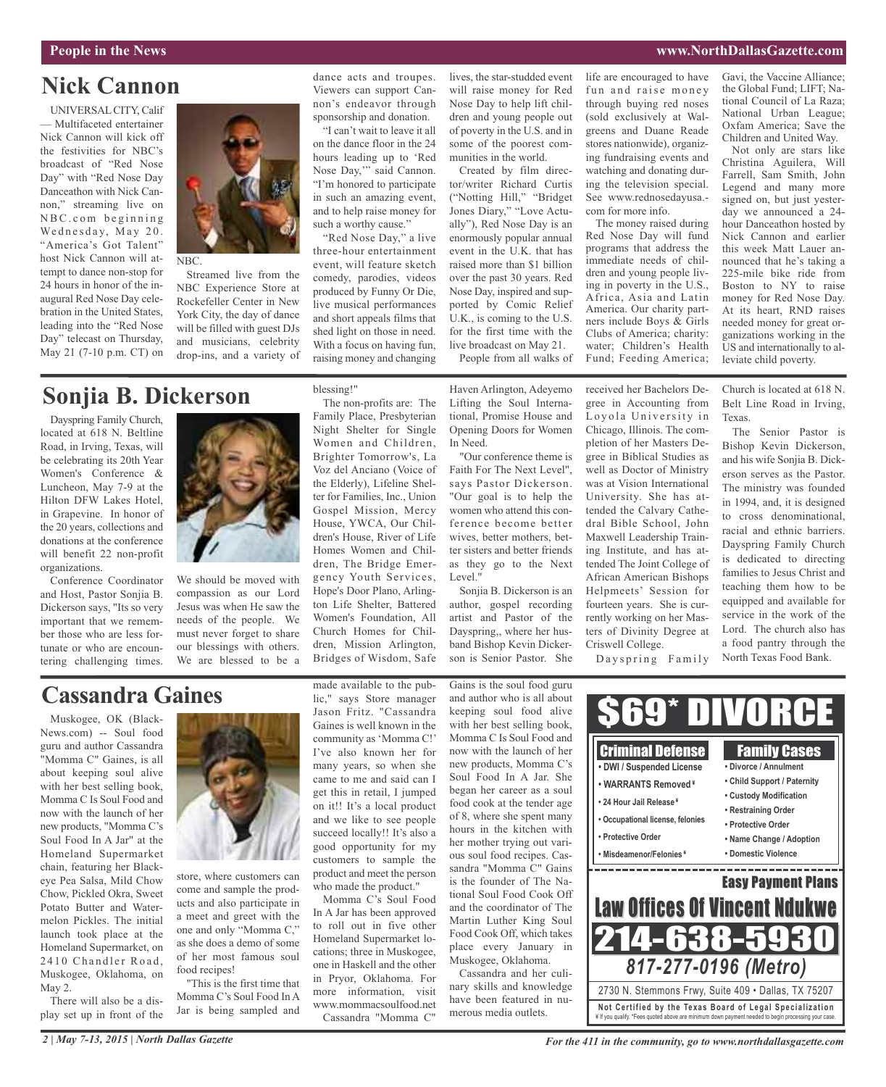# **Nick Cannon**

UNIVERSALCITY, Calif — Multifaceted entertainer Nick Cannon will kick off the festivities for NBC's broadcast of "Red Nose Day" with "Red Nose Day Danceathon with Nick Cannon," streaming live on  $NBC.com$  beginning Wednesday, May 20. "America's Got Talent" host Nick Cannon will attempt to dance non-stop for 24 hours in honor of the inaugural Red Nose Day celebration in the United States, leading into the "Red Nose Day" telecast on Thursday, May 21 (7-10 p.m. CT) on



NBC.

Streamed live from the NBC Experience Store at Rockefeller Center in New York City, the day of dance will be filled with guest DJs and musicians, celebrity drop-ins, and a variety of

### **Sonjia B. Dickerson**

Dayspring Family Church, located at 618 N. Beltline Road, in Irving, Texas, will be celebrating its 20th Year Women's Conference & Luncheon, May 7-9 at the Hilton DFW Lakes Hotel, in Grapevine. In honor of the 20 years, collections and donations at the conference will benefit 22 non-profit organizations.

Conference Coordinator and Host, Pastor Sonjia B. Dickerson says, "Its so very important that we remember those who are less fortunate or who are encountering challenging times.



We should be moved with compassion as our Lord Jesus was when He saw the needs of the people. We must never forget to share our blessings with others. We are blessed to be a

#### Night Shelter for Single Women and Children, Brighter Tomorrow's, La Voz del Anciano (Voice of the Elderly), Lifeline Shelter for Families, Inc., Union Gospel Mission, Mercy House, YWCA, Our Children's House, River of Life Homes Women and Chil-

blessing!"

The non-profits are: The Family Place, Presbyterian

dance acts and troupes. Viewers can support Cannon's endeavor through sponsorship and donation. "I can't wait to leave it all on the dance floor in the 24 hours leading up to 'Red Nose Day,'" said Cannon. "I'm honored to participate in such an amazing event, and to help raise money for such a worthy cause." "Red Nose Day," a live three-hour entertainment event, will feature sketch comedy, parodies, videos produced by Funny Or Die, live musical performances and short appeals films that shed light on those in need. With a focus on having fun, raising money and changing

dren, The Bridge Emergency Youth Services, Hope's Door Plano, Arlington Life Shelter, Battered Women's Foundation, All Church Homes for Children, Mission Arlington, Bridges of Wisdom, Safe

lives, the star-studded event will raise money for Red Nose Day to help lift children and young people out of poverty in the U.S. and in some of the poorest communities in the world.

Created by film director/writer Richard Curtis ("Notting Hill," "Bridget Jones Diary," "Love Actually"), Red Nose Day is an enormously popular annual event in the U.K. that has raised more than \$1 billion over the past 30 years. Red Nose Day, inspired and supported by Comic Relief U.K., is coming to the U.S. for the first time with the live broadcast on May 21.

People from all walks of

Haven Arlington, Adeyemo Lifting the Soul International, Promise House and Opening Doors for Women In Need.

"Our conference theme is Faith For The Next Level", says Pastor Dickerson. "Our goal is to help the women who attend this conference become better wives, better mothers, better sisters and better friends as they go to the Next Level."

Sonjia B. Dickerson is an author, gospel recording artist and Pastor of the Dayspring,, where her husband Bishop Kevin Dickerson is Senior Pastor. She

life are encouraged to have fun and raise money through buying red noses (sold exclusively at Walgreens and Duane Reade stores nationwide), organizing fundraising events and watching and donating during the television special. See www.rednosedayusa. com for more info.

The money raised during Red Nose Day will fund programs that address the immediate needs of children and young people living in poverty in the U.S., Africa, Asia and Latin America. Our charity partners include Boys & Girls Clubs of America; charity: water; Children's Health Fund; Feeding America;

received her Bachelors Degree in Accounting from Loyola University in Chicago, Illinois. The completion of her Masters Degree in Biblical Studies as well as Doctor of Ministry was at Vision International University. She has attended the Calvary Cathedral Bible School, John Maxwell Leadership Training Institute, and has attended The Joint College of African American Bishops Helpmeets' Session for fourteen years. She is currently working on her Masters of Divinity Degree at Gavi, the Vaccine Alliance; the Global Fund; LIFT; National Council of La Raza; National Urban League; Oxfam America; Save the Children and United Way.

Not only are stars like Christina Aguilera, Will Farrell, Sam Smith, John Legend and many more signed on, but just yesterday we announced a 24 hour Danceathon hosted by Nick Cannon and earlier this week Matt Lauer announced that he's taking a 225-mile bike ride from Boston to NY to raise money for Red Nose Day. At its heart, RND raises needed money for great organizations working in the US and internationally to alleviate child poverty.

Church is located at 618 N. Belt Line Road in Irving, Texas.

The Senior Pastor is Bishop Kevin Dickerson, and his wife Sonjia B. Dickerson serves as the Pastor. The ministry was founded in 1994, and, it is designed to cross denominational, racial and ethnic barriers. Dayspring Family Church is dedicated to directing families to Jesus Christ and teaching them how to be equipped and available for service in the work of the Lord. The church also has a food pantry through the North Texas Food Bank.

Dayspring Family

Criswell College.

# **Cassandra Gaines**

Muskogee, OK (Black-News.com) -- Soul food guru and author Cassandra "Momma C" Gaines, is all about keeping soul alive with her best selling book, Momma C Is Soul Food and now with the launch of her new products, "Momma C's Soul Food In A Jar" at the Homeland Supermarket chain, featuring her Blackeye Pea Salsa, Mild Chow Chow, Pickled Okra, Sweet Potato Butter and Watermelon Pickles. The initial launch took place at the Homeland Supermarket, on 2410 Chandler Road, Muskogee, Oklahoma, on May 2.

There will also be a display set up in front of the



store, where customers can come and sample the products and also participate in a meet and greet with the one and only "Momma C," as she does a demo of some of her most famous soul food recipes!

"This is the first time that Momma C's Soul Food In A Jar is being sampled and

made available to the public," says Store manager Jason Fritz. "Cassandra Gaines is well known in the community as 'Momma C!' I've also known her for many years, so when she came to me and said can I get this in retail, I jumped on it!! It's a local product and we like to see people succeed locally!! It's also a good opportunity for my customers to sample the product and meet the person who made the product." Momma C's Soul Food

In A Jar has been approved to roll out in five other Homeland Supermarket locations; three in Muskogee, one in Haskell and the other in Pryor, Oklahoma. For more information, visit www.mommacsoulfood.net Cassandra "Momma C"

Gains is the soul food guru and author who is all about keeping soul food alive with her best selling book, Momma C Is Soul Food and now with the launch of her new products, Momma C's Soul Food In A Jar. She began her career as a soul food cook at the tender age of 8, where she spent many hours in the kitchen with her mother trying out various soul food recipes. Cassandra "Momma C" Gains is the founder of The National Soul Food Cook Off and the coordinator of The Martin Luther King Soul Food Cook Off, which takes place every January in Muskogee, Oklahoma. Cassandra and her culi-

nary skills and knowledge have been featured in numerous media outlets.

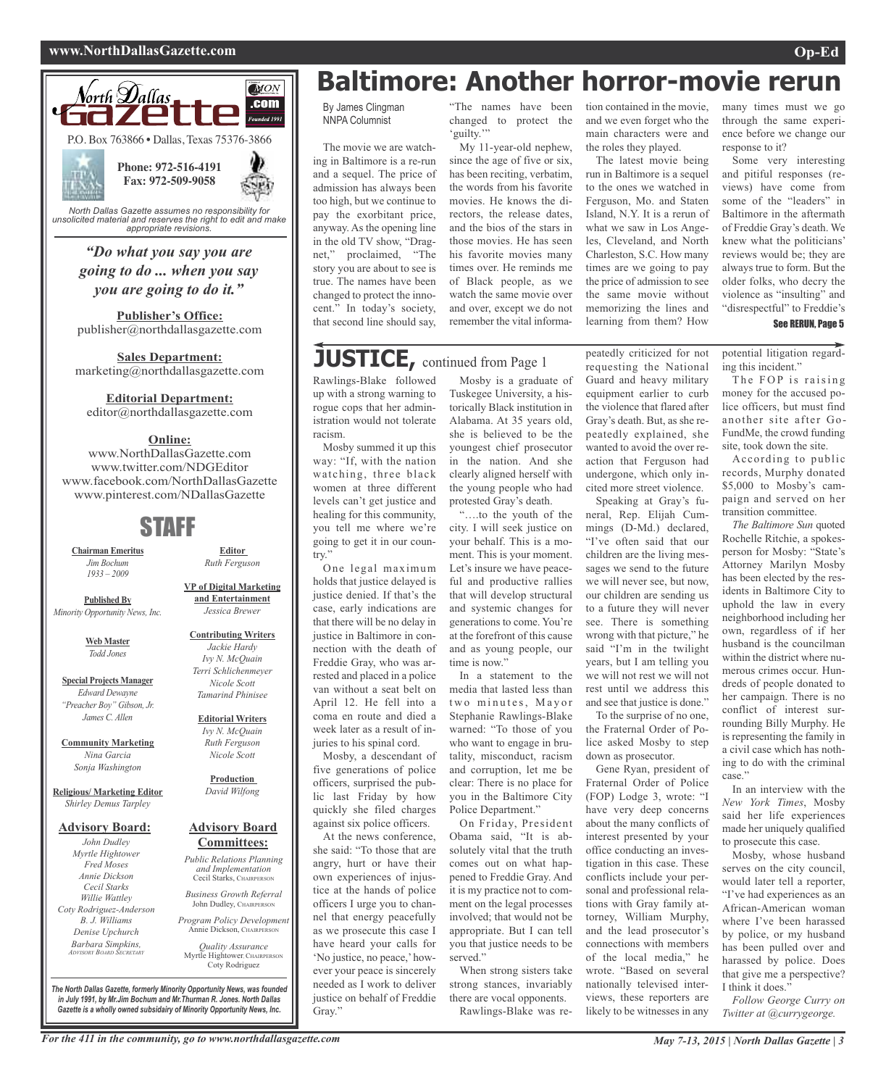#### **www.NorthDallasGazette.com Op-Ed**



*"Do what you say you are going to do ... when you say*

**Publisher's Office:** publisher@northdallasgazette.com

*you are going to do it."*

**Sales Department:** marketing@northdallasgazette.com

**Editorial Department:**

editor@northdallasgazette.com

#### **Online:**

www.NorthDallasGazette.com www.twitter.com/NDGEditor www.facebook.com/NorthDallasGazette www.pinterest.com/NDallasGazette

### STAFF

**Chairman Emeritus** *Jim Bochum 1933 – 2009*

**Published By** *Minority Opportunity News, Inc.*

> **Web Master** *Todd Jones*

**Special Projects Manager** *Edward Dewayne "Preacher Boy" Gibson, Jr. James C. Allen*

**Community Marketing** *Nina Garcia Sonja Washington*

**Religious/ Marketing Editor** *Shirley Demus Tarpley*

#### **Advisory Board:**

*John Dudley Myrtle Hightower Fred Moses Annie Dickson Cecil Starks Willie Wattley Coty Rodriguez-Anderson B. J. Williams Denise Upchurch Barbara Simpkins, ADVISORY BOARD SECRETARY*

**and Entertainment** *Jessica Brewer* **Contributing Writers**

**VP of Digital Marketing**

**Editor** *Ruth Ferguson*

*Jackie Hardy Ivy N. McQuain Terri Schlichenmeyer Nicole Scott Tamarind Phinisee*

**Editorial Writers** *Ivy N. McQuain Ruth Ferguson Nicole Scott*

**Production** *David Wilfong*

#### **Advisory Board Committees:**

*Public Relations Planning and Implementation* Cecil Starks, CHAIRPERSON *Business Growth Referral*

John Dudley, CHAIRPERSON

*Program Policy Development* Annie Dickson, Chairper

Myrtle Hightower, CHAIRPERSON

*Quality Assurance* Coty Rodriguez

**Baltimore: Another horror-movie rerun**

By James Clingman NNPA Columnist

The movie we are watching in Baltimore is a re-run and a sequel. The price of admission has always been too high, but we continue to pay the exorbitant price, anyway. As the opening line in the old TV show, "Dragnet," proclaimed, "The story you are about to see is true. The names have been changed to protect the innocent." In today's society, that second line should say,

#### "The names have been changed to protect the 'guilty." My 11-year-old nephew, since the age of five or six,

has been reciting, verbatim, the words from his favorite movies. He knows the directors, the release dates, and the bios of the stars in those movies. He has seen his favorite movies many times over. He reminds me of Black people, as we watch the same movie over and over, except we do not remember the vital informa-

# **JUSTICE,** continued from Page <sup>1</sup>

Rawlings-Blake followed up with a strong warning to rogue cops that her administration would not tolerate racism.

Mosby summed it up this way: "If, with the nation watching, three black women at three different levels can't get justice and healing for this community, you tell me where we're going to get it in our country."

One legal maximum holds that justice delayed is justice denied. If that's the case, early indications are that there will be no delay in justice in Baltimore in connection with the death of Freddie Gray, who was arrested and placed in a police van without a seat belt on April 12. He fell into a coma en route and died a week later as a result of injuries to his spinal cord.

Mosby, a descendant of five generations of police officers, surprised the public last Friday by how quickly she filed charges against six police officers.

At the news conference, she said: "To those that are angry, hurt or have their own experiences of injustice at the hands of police officers I urge you to channel that energy peacefully as we prosecute this case I have heard your calls for 'No justice, no peace,' however your peace is sincerely needed as I work to deliver justice on behalf of Freddie Gray."

Mosby is a graduate of Tuskegee University, a historically Black institution in Alabama. At 35 years old, she is believed to be the youngest chief prosecutor in the nation. And she clearly aligned herself with the young people who had protested Gray's death.

"….to the youth of the city. I will seek justice on your behalf. This is a moment. This is your moment. Let's insure we have peaceful and productive rallies that will develop structural and systemic changes for generations to come. You're at the forefront of this cause and as young people, our time is now."

In a statement to the media that lasted less than two minutes, Mayor Stephanie Rawlings-Blake warned: "To those of you who want to engage in brutality, misconduct, racism and corruption, let me be clear: There is no place for you in the Baltimore City Police Department."

On Friday, President Obama said, "It is absolutely vital that the truth comes out on what happened to Freddie Gray. And it is my practice not to comment on the legal processes involved; that would not be appropriate. But I can tell you that justice needs to be served."

When strong sisters take strong stances, invariably there are vocal opponents. Rawlings-Blake was re-

tion contained in the movie, and we even forget who the main characters were and the roles they played.

The latest movie being run in Baltimore is a sequel to the ones we watched in Ferguson, Mo. and Staten Island, N.Y. It is a rerun of what we saw in Los Angeles, Cleveland, and North Charleston, S.C. How many times are we going to pay the price of admission to see the same movie without memorizing the lines and learning from them? How

peatedly criticized for not requesting the National Guard and heavy military equipment earlier to curb the violence that flared after Gray's death. But, as she repeatedly explained, she wanted to avoid the over reaction that Ferguson had undergone, which only incited more street violence. Speaking at Gray's funeral, Rep. Elijah Cummings (D-Md.) declared, "I've often said that our children are the living messages we send to the future we will never see, but now, our children are sending us to a future they will never see. There is something wrong with that picture," he said "I'm in the twilight years, but I am telling you we will not rest we will not rest until we address this and see that justice is done." To the surprise of no one, the Fraternal Order of Police asked Mosby to step down as prosecutor.

Gene Ryan, president of Fraternal Order of Police (FOP) Lodge 3, wrote: "I have very deep concerns about the many conflicts of interest presented by your office conducting an investigation in this case. These conflicts include your personal and professional relations with Gray family attorney, William Murphy, and the lead prosecutor's connections with members of the local media," he wrote. "Based on several nationally televised interviews, these reporters are likely to be witnesses in any

many times must we go through the same experience before we change our response to it?

Some very interesting and pitiful responses (reviews) have come from some of the "leaders" in Baltimore in the aftermath of Freddie Gray's death. We knew what the politicians' reviews would be; they are always true to form. But the older folks, who decry the violence as "insulting" and "disrespectful" to Freddie's

#### See RERUN, Page 5

potential litigation regarding this incident."

The FOP is raising money for the accused police officers, but must find another site after Go-FundMe, the crowd funding site, took down the site.

According to public records, Murphy donated \$5,000 to Mosby's campaign and served on her transition committee.

*The Baltimore Sun* quoted Rochelle Ritchie, a spokesperson for Mosby: "State's Attorney Marilyn Mosby has been elected by the residents in Baltimore City to uphold the law in every neighborhood including her own, regardless of if her husband is the councilman within the district where numerous crimes occur. Hundreds of people donated to her campaign. There is no conflict of interest surrounding Billy Murphy. He is representing the family in a civil case which has nothing to do with the criminal case."

In an interview with the *New York Times*, Mosby said her life experiences made her uniquely qualified to prosecute this case.

Mosby, whose husband serves on the city council, would later tell a reporter, "I've had experiences as an African-American woman where I've been harassed by police, or my husband has been pulled over and harassed by police. Does that give me a perspective? I think it does."

*Follow George Curry on Twitter at @currygeorge.*

*The North Dallas Gazette, formerly Minority Opportunity News, was founded in July 1991, by Mr.Jim Bochum and Mr.Thurman R. Jones. North Dallas Gazette is a wholly owned subsidairy of Minority Opportunity News, Inc.*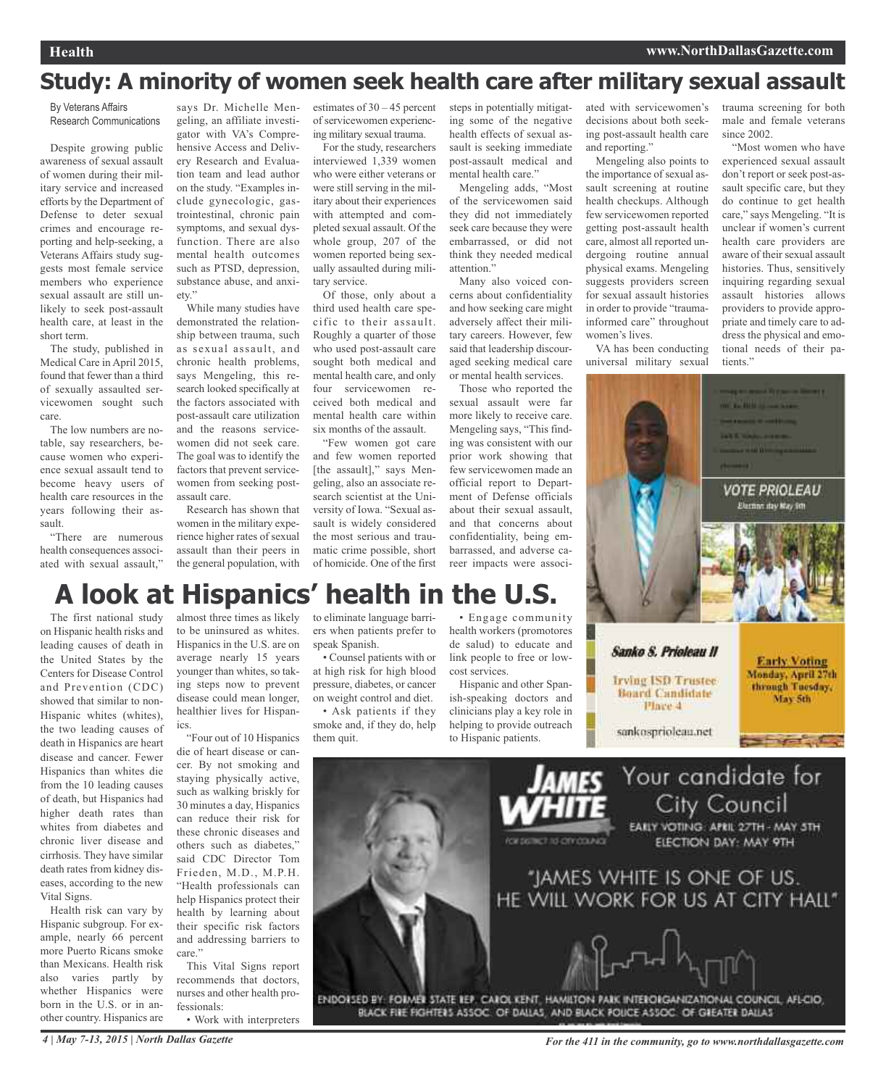# **Study: A minority of women seek health care after military sexual assault**

By Veterans Affairs Research Communications

Despite growing public awareness of sexual assault of women during their military service and increased efforts by the Department of Defense to deter sexual crimes and encourage reporting and help-seeking, a Veterans Affairs study suggests most female service members who experience sexual assault are still unlikely to seek post-assault health care, at least in the short term.

The study, published in Medical Care in April 2015, found that fewer than a third of sexually assaulted servicewomen sought such care.

The low numbers are notable, say researchers, because women who experience sexual assault tend to become heavy users of health care resources in the years following their assault.

"There are numerous health consequences associated with sexual assault,"

says Dr. Michelle Mengeling, an affiliate investigator with VA's Comprehensive Access and Delivery Research and Evaluation team and lead author on the study. "Examples include gynecologic, gastrointestinal, chronic pain symptoms, and sexual dysfunction. There are also mental health outcomes such as PTSD, depression, substance abuse, and anxiety."

While many studies have demonstrated the relationship between trauma, such as sexual assault, and chronic health problems, says Mengeling, this research looked specifically at the factors associated with post-assault care utilization and the reasons servicewomen did not seek care. The goal was to identify the factors that prevent servicewomen from seeking postassault care.

Research has shown that women in the military experience higher rates of sexual assault than their peers in the general population, with estimates of 30 – 45 percent of servicewomen experiencing military sexual trauma.

For the study, researchers interviewed 1,339 women who were either veterans or were still serving in the military about their experiences with attempted and completed sexual assault. Of the whole group, 207 of the women reported being sexually assaulted during military service.

Of those, only about a third used health care specific to their assault. Roughly a quarter of those who used post-assault care sought both medical and mental health care, and only four servicewomen received both medical and mental health care within six months of the assault.

"Few women got care and few women reported [the assault]," says Mengeling, also an associate research scientist at the University of Iowa. "Sexual assault is widely considered the most serious and traumatic crime possible, short of homicide. One of the first steps in potentially mitigating some of the negative health effects of sexual assault is seeking immediate post-assault medical and mental health care."

Mengeling adds, "Most of the servicewomen said they did not immediately seek care because they were embarrassed, or did not think they needed medical attention."

Many also voiced concerns about confidentiality and how seeking care might adversely affect their military careers. However, few said that leadership discouraged seeking medical care or mental health services.

Those who reported the sexual assault were far more likely to receive care. Mengeling says, "This finding was consistent with our prior work showing that few servicewomen made an official report to Department of Defense officials about their sexual assault, and that concerns about confidentiality, being embarrassed, and adverse career impacts were associated with servicewomen's decisions about both seeking post-assault health care and reporting."

Mengeling also points to the importance of sexual assault screening at routine health checkups. Although few servicewomen reported getting post-assault health care, almost all reported undergoing routine annual physical exams. Mengeling suggests providers screen for sexual assault histories in order to provide "traumainformed care" throughout women's lives.

VA has been conducting universal military sexual

trauma screening for both male and female veterans since 2002.

"Most women who have experienced sexual assault don't report or seek post-assault specific care, but they do continue to get health care," says Mengeling. "It is unclear if women's current health care providers are aware of their sexual assault histories. Thus, sensitively inquiring regarding sexual assault histories allows providers to provide appropriate and timely care to address the physical and emotional needs of their patients."



#### Sanko S. Prioleau II

**Irving ISD Trustee Board Candidate** Pince 4

**Early Voting** Monday, April 27th through Tuesday, May 5th

sankosprioleau.net



# **A look at Hispanics' health in the U.S.**

The first national study on Hispanic health risks and leading causes of death in the United States by the Centers for Disease Control and Prevention (CDC) showed that similar to non-Hispanic whites (whites), the two leading causes of death in Hispanics are heart disease and cancer. Fewer Hispanics than whites die from the 10 leading causes of death, but Hispanics had higher death rates than whites from diabetes and chronic liver disease and cirrhosis. They have similar death rates from kidney diseases, according to the new Vital Signs.

Health risk can vary by Hispanic subgroup. For example, nearly 66 percent more Puerto Ricans smoke than Mexicans. Health risk also varies partly by whether Hispanics were born in the U.S. or in another country. Hispanics are

almost three times as likely to be uninsured as whites. Hispanics in the U.S. are on average nearly 15 years younger than whites, so taking steps now to prevent disease could mean longer, healthier lives for Hispanics.

"Four out of 10 Hispanics die of heart disease or cancer. By not smoking and staying physically active, such as walking briskly for 30 minutes a day, Hispanics can reduce their risk for these chronic diseases and others such as diabetes," said CDC Director Tom Frieden, M.D., M.P.H. "Health professionals can help Hispanics protect their health by learning about their specific risk factors and addressing barriers to care."

This Vital Signs report recommends that doctors, nurses and other health professionals:

• Work with interpreters

to eliminate language barriers when patients prefer to speak Spanish.

• Counsel patients with or at high risk for high blood pressure, diabetes, or cancer on weight control and diet.

• Ask patients if they smoke and, if they do, help them quit.

• Engage community health workers (promotores de salud) to educate and link people to free or lowcost services.

Hispanic and other Spanish-speaking doctors and clinicians play a key role in helping to provide outreach to Hispanic patients.



BLACK FIRE FIGHTERS ASSOC. OF DALLAS, AND BLACK POLICE ASSOC. OF GREATER DALLAS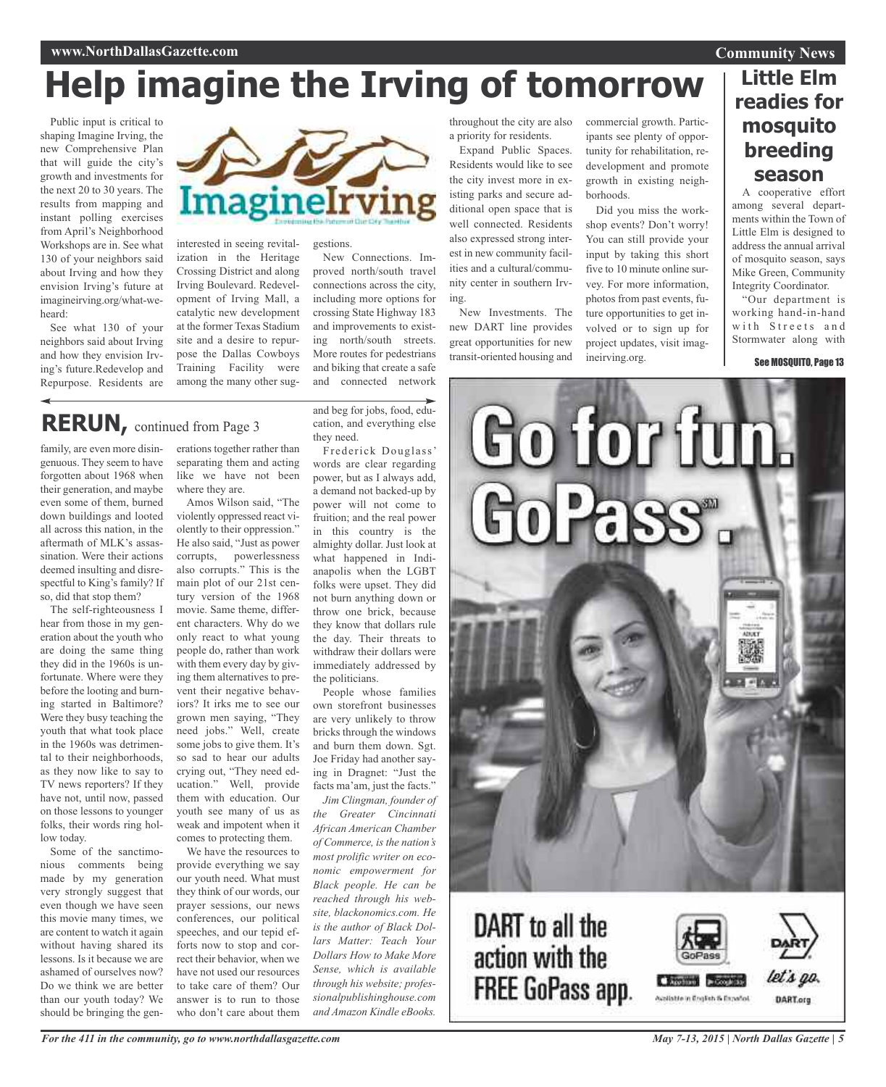#### **Community News**

# **Help imagine the Irving of tomorrow**

Public input is critical to shaping Imagine Irving, the new Comprehensive Plan that will guide the city's growth and investments for the next 20 to 30 years. The results from mapping and instant polling exercises from April's Neighborhood Workshops are in. See what 130 of your neighbors said about Irving and how they envision Irving's future at imagineirving.org/what-weheard:

See what 130 of your neighbors said about Irving and how they envision Irving's future.Redevelop and Repurpose. Residents are



interested in seeing revitalization in the Heritage Crossing District and along Irving Boulevard. Redevelopment of Irving Mall, a catalytic new development at the former Texas Stadium site and a desire to repurpose the Dallas Cowboys Training Facility were among the many other sug-

# **RERUN,** continued from Page <sup>3</sup>

family, are even more disingenuous. They seem to have forgotten about 1968 when their generation, and maybe even some of them, burned down buildings and looted all across this nation, in the aftermath of MLK's assassination. Were their actions deemed insulting and disrespectful to King's family? If so, did that stop them?

The self-righteousness I hear from those in my generation about the youth who are doing the same thing they did in the 1960s is unfortunate. Where were they before the looting and burning started in Baltimore? Were they busy teaching the youth that what took place in the 1960s was detrimental to their neighborhoods, as they now like to say to TV news reporters? If they have not, until now, passed on those lessons to younger folks, their words ring hollow today.

Some of the sanctimonious comments being made by my generation very strongly suggest that even though we have seen this movie many times, we are content to watch it again without having shared its lessons. Is it because we are ashamed of ourselves now? Do we think we are better than our youth today? We should be bringing the generations together rather than separating them and acting like we have not been where they are.

Amos Wilson said, "The violently oppressed react violently to their oppression." He also said, "Just as power corrupts, powerlessness also corrupts." This is the main plot of our 21st century version of the 1968 movie. Same theme, different characters. Why do we only react to what young people do, rather than work with them every day by giving them alternatives to prevent their negative behaviors? It irks me to see our grown men saying, "They need jobs." Well, create some jobs to give them. It's so sad to hear our adults crying out, "They need education." Well, provide them with education. Our youth see many of us as weak and impotent when it comes to protecting them.

We have the resources to provide everything we say our youth need. What must they think of our words, our prayer sessions, our news conferences, our political speeches, and our tepid efforts now to stop and correct their behavior, when we have not used our resources to take care of them? Our answer is to run to those who don't care about them

and beg for jobs, food, education, and everything else they need.

New Connections. Improved north/south travel connections across the city, including more options for crossing State Highway 183 and improvements to existing north/south streets. More routes for pedestrians and biking that create a safe and connected network

Frederick Douglass' words are clear regarding power, but as I always add, a demand not backed-up by power will not come to fruition; and the real power in this country is the almighty dollar. Just look at what happened in Indianapolis when the LGBT folks were upset. They did not burn anything down or throw one brick, because they know that dollars rule the day. Their threats to withdraw their dollars were immediately addressed by the politicians.

People whose families own storefront businesses are very unlikely to throw bricks through the windows and burn them down. Sgt. Joe Friday had another saying in Dragnet: "Just the facts ma'am, just the facts."

*Jim Clingman, founder of the Greater Cincinnati African American Chamber of Commerce, is the nation's most prolific writer on economic empowerment for Black people. He can be reached through his website, blackonomics.com. He is the author of Black Dollars Matter: Teach Your Dollars How to Make More Sense, which is available through his website; professionalpublishinghouse.com and Amazon Kindle eBooks.*

throughout the city are also a priority for residents.

Expand Public Spaces. Residents would like to see the city invest more in existing parks and secure additional open space that is well connected. Residents also expressed strong interest in new community facilities and a cultural/community center in southern Irving.

New Investments. The new DART line provides great opportunities for new transit-oriented housing and

commercial growth. Participants see plenty of opportunity for rehabilitation, redevelopment and promote growth in existing neighborhoods.

Did you miss the workshop events? Don't worry! You can still provide your input by taking this short five to 10 minute online survey. For more information, photos from past events, future opportunities to get involved or to sign up for project updates, visit imagineirving.org.

### **Little Elm readies for mosquito breeding season**

A cooperative effort among several departments within the Town of Little Elm is designed to address the annual arrival of mosquito season, says Mike Green, Community Integrity Coordinator.

"Our department is working hand-in-hand with Streets and Stormwater along with

See MOSQUITO, Page 13



# DART to all the action with the **FREE GoPass app.**

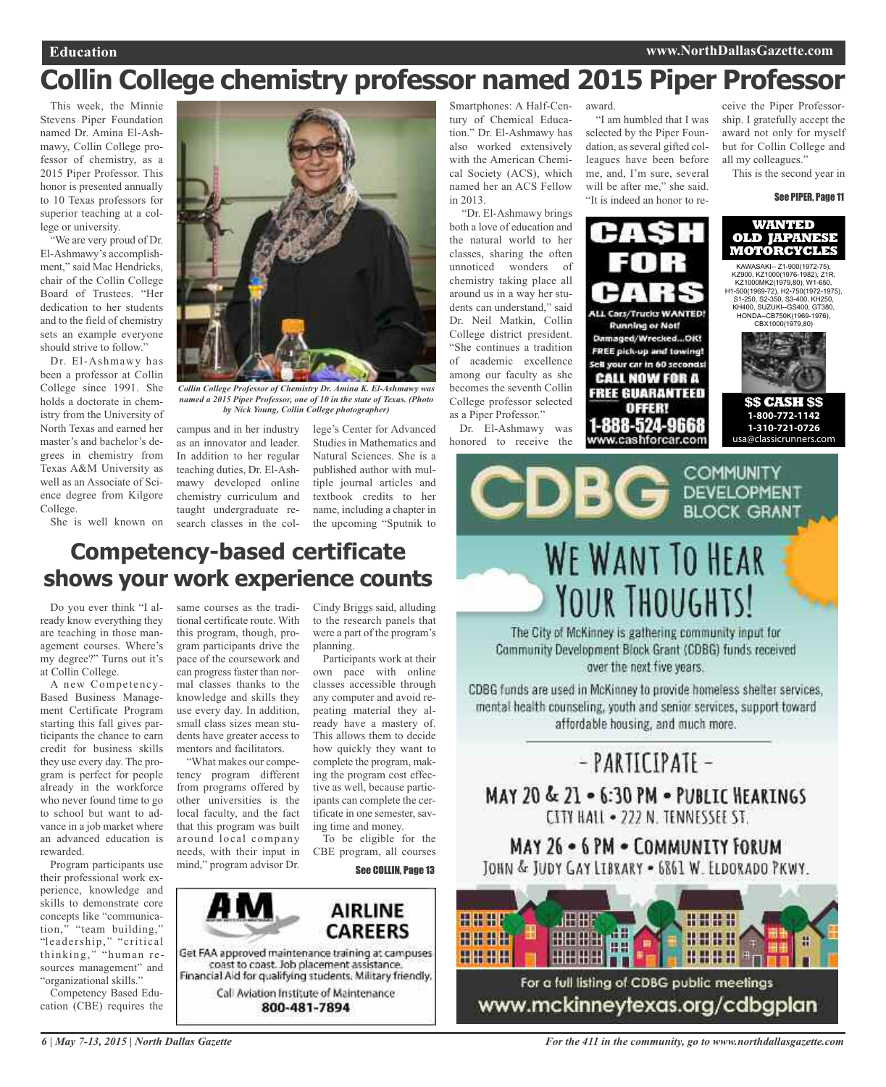# **Collin College chemistry professor named 2015 Piper Professor**

This week, the Minnie Stevens Piper Foundation named Dr. Amina El-Ashmawy, Collin College professor of chemistry, as a 2015 Piper Professor. This honor is presented annually to 10 Texas professors for superior teaching at a college or university.

"We are very proud of Dr. El-Ashmawy's accomplishment," said Mac Hendricks, chair of the Collin College Board of Trustees. "Her dedication to her students and to the field of chemistry sets an example everyone should strive to follow."

Dr. El-Ashmawy has been a professor at Collin College since 1991. She holds a doctorate in chemistry from the University of North Texas and earned her master's and bachelor's degrees in chemistry from Texas A&M University as well as an Associate of Science degree from Kilgore College.

She is well known on



*Collin College Professor of Chemistry Dr. Amina K. El-Ashmawy was named a 2015 Piper Professor, one of 10 in the state of Texas. (Photo by Nick Young, Collin College photographer)*

campus and in her industry as an innovator and leader. In addition to her regular teaching duties, Dr. El-Ashmawy developed online chemistry curriculum and taught undergraduate research classes in the col-

lege's Center for Advanced Studies in Mathematics and Natural Sciences. She is a published author with multiple journal articles and textbook credits to her name, including a chapter in the upcoming "Sputnik to

Smartphones: A Half-Century of Chemical Education." Dr. El-Ashmawy has also worked extensively with the American Chemical Society (ACS), which named her an ACS Fellow in 2013.

"Dr. El-Ashmawy brings both a love of education and the natural world to her classes, sharing the often unnoticed wonders of chemistry taking place all around us in a way her students can understand," said Dr. Neil Matkin, Collin College district president. "She continues a tradition of academic excellence among our faculty as she becomes the seventh Collin College professor selected as a Piper Professor."

Dr. El-Ashmawy was honored to receive the award.

"I am humbled that I was selected by the Piper Foundation, as several gifted colleagues have been before me, and, I'm sure, several will be after me," she said. "It is indeed an honor to re-



ceive the Piper Professorship. I gratefully accept the award not only for myself but for Collin College and all my colleagues." This is the second year in

#### See PIPER, Page 11





#### **\$\$ CASH \$\$ 1-800-772-1142 1-310-721-0726**  usa@classicrunners.com

### **Competency-based certificate shows your work experience counts**

Do you ever think "I already know everything they are teaching in those management courses. Where's my degree?" Turns out it's at Collin College.

A new Competency-Based Business Management Certificate Program starting this fall gives participants the chance to earn credit for business skills they use every day. The program is perfect for people already in the workforce who never found time to go to school but want to advance in a job market where an advanced education is rewarded.

Program participants use their professional work experience, knowledge and skills to demonstrate core concepts like "communication," "team building," "leadership," "critical thinking," "human resources management" and "organizational skills."

Competency Based Education (CBE) requires the

same courses as the traditional certificate route. With this program, though, program participants drive the pace of the coursework and can progress faster than normal classes thanks to the knowledge and skills they use every day. In addition, small class sizes mean students have greater access to mentors and facilitators.

"What makes our competency program different from programs offered by other universities is the local faculty, and the fact that this program was built around local company needs, with their input in mind," program advisor Dr.

Cindy Briggs said, alluding to the research panels that were a part of the program's planning.

Participants work at their own pace with online classes accessible through any computer and avoid repeating material they already have a mastery of. This allows them to decide how quickly they want to complete the program, making the program cost effective as well, because participants can complete the certificate in one semester, saving time and money.

To be eligible for the CBE program, all courses

See COLLIN, Page 13





Community Development Block Grant (CDBG) funds received over the next five years.

CDBG funds are used in McKinney to provide homeless shelter services, mental health counseling, youth and senior services, support toward affordable housing, and much more.

# - PARTICIPATE -MAY 20 & 21 . 6:30 PM . PUBLIC HEARINGS CITY HALL . 222 N. TENNESSEE ST.

### MAY 26 . 6 PM . COMMUNITY FORUM JOHN & JUDY GAY LIBRARY - 6861 W. ELDORADO PKWY.



www.mckinneytexas.org/cdbgplan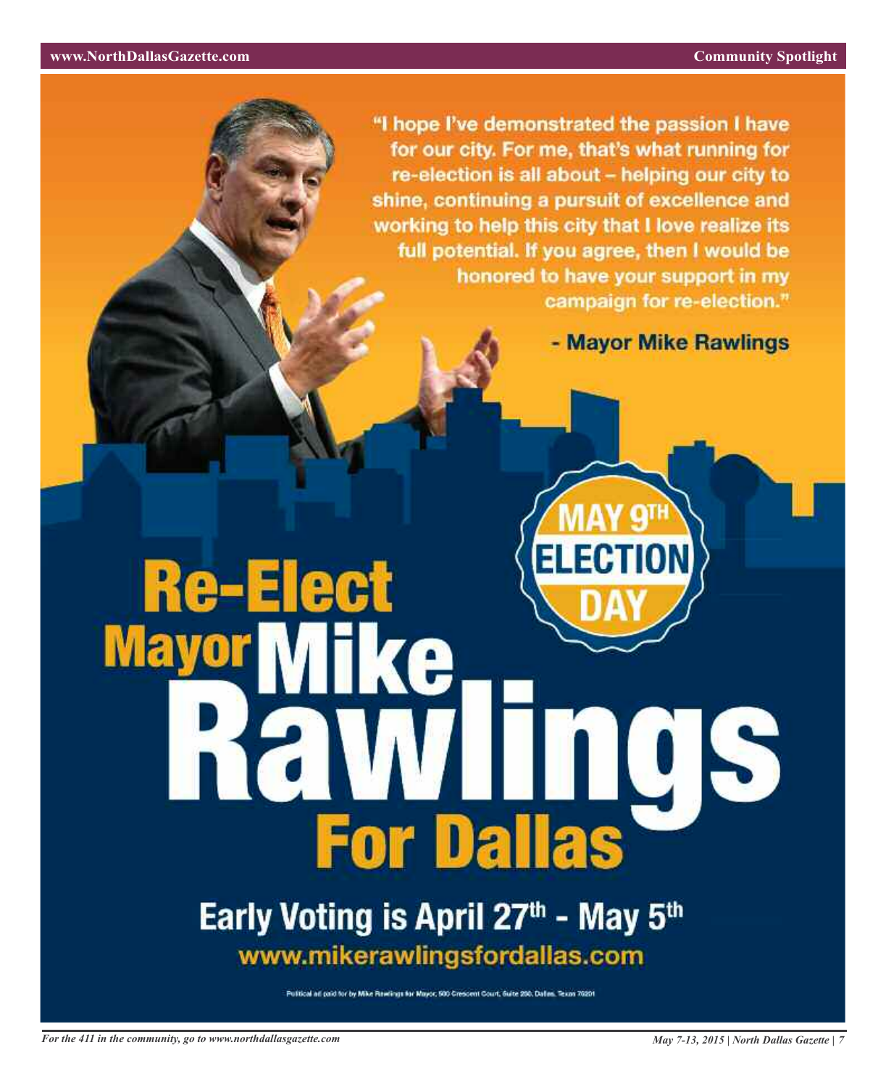"I hope I've demonstrated the passion I have for our city. For me, that's what running for re-election is all about - helping our city to shine, continuing a pursuit of excellence and working to help this city that I love realize its full potential. If you agree, then I would be honored to have your support in my campaign for re-election."

- Mayor Mike Rawlings

# **Re-Elect Ma** 5 **For Dallas**

# Early Voting is April 27th - May 5th www.mikerawlingsfordallas.com

Publical ad paid for by Mike Rewlings for Mayor, 500 Crescent Court, Guite 200, Dalles, Texas 70201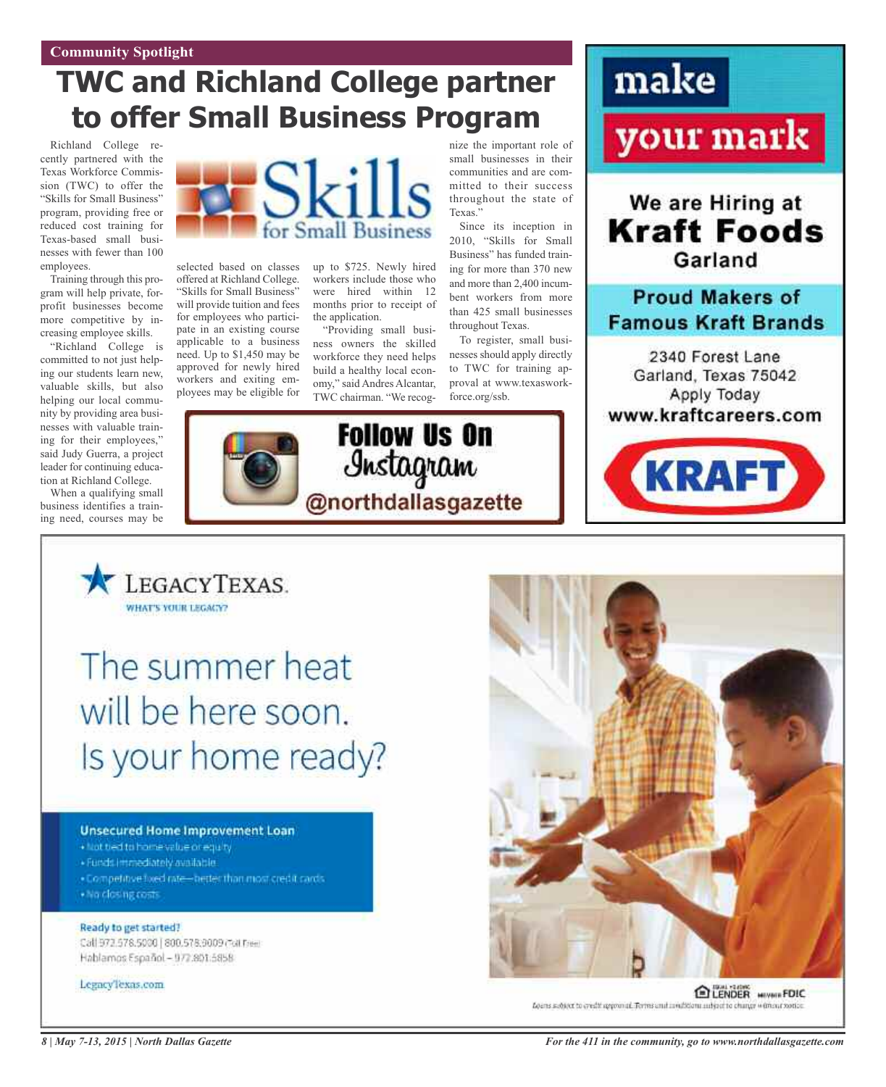# **TWC and Richland College partner to offer Small Business Program**

Richland College recently partnered with the Texas Workforce Commission (TWC) to offer the "Skills for Small Business" program, providing free or reduced cost training for Texas-based small businesses with fewer than 100 employees.

Training through this program will help private, forprofit businesses become more competitive by increasing employee skills.

"Richland College is committed to not just helping our students learn new, valuable skills, but also helping our local community by providing area businesses with valuable training for their employees," said Judy Guerra, a project leader for continuing education at Richland College.

When a qualifying small business identifies a training need, courses may be



selected based on classes offered at Richland College. "Skills for Small Business" will provide tuition and fees for employees who participate in an existing course applicable to a business need. Up to \$1,450 may be approved for newly hired workers and exiting employees may be eligible for



up to \$725. Newly hired workers include those who were hired within 12 months prior to receipt of the application.

"Providing small business owners the skilled workforce they need helps build a healthy local economy," said Andres Alcantar, TWC chairman. "We recog-

**Follow Us On** 

Instagram

nize the important role of small businesses in their communities and are committed to their success throughout the state of Texas."

Since its inception in 2010, "Skills for Small Business" has funded training for more than 370 new and more than 2,400 incumbent workers from more than 425 small businesses throughout Texas.

To register, small businesses should apply directly to TWC for training approval at www.texasworkforce.org/ssb.







LEGACYTEXAS. **WHAT'S YOUR LEGACY?** 

The summer heat will be here soon. Is your home ready?

#### **Unsecured Home Improvement Loan**

- · Not tied to home value or equity
- · Funds immediately available
- . Competitive tixed rate-netter than most credit rards · No closing conts
- 

#### Ready to get started? Call 972.578.5000 | 800.578;9009 (Foll Free)

Hablamos Español - 972.801.5858

#### Legacy'lexas.com



ELENDER MIVWIRFDIC Loans subject to credit approval. Terms and available to adjust to change without rootice.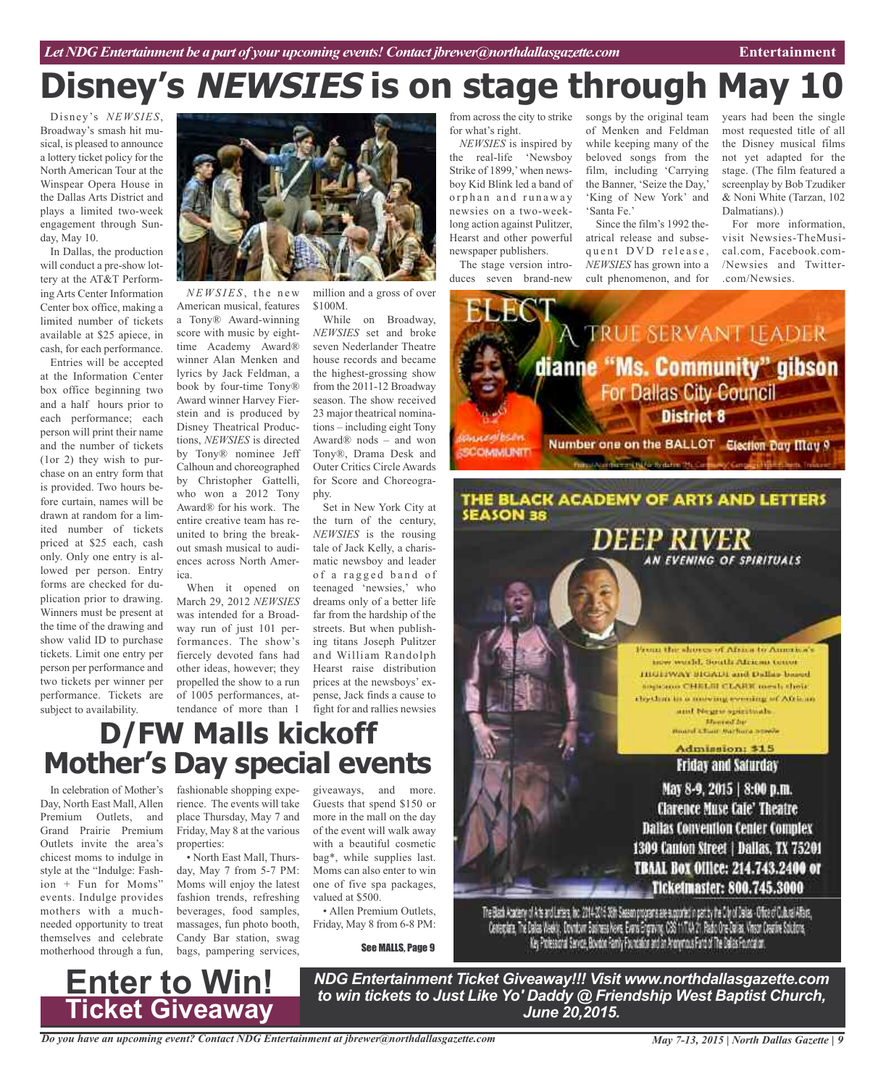# **Disney's NEWSIES is on stage through May 10**

from across the city to strike

*NEWSIES* is inspired by the real-life 'Newsboy Strike of 1899,'when newsboy Kid Blink led a band of orphan and runaway newsies on a two-weeklong action against Pulitzer, Hearst and other powerful newspaper publishers. The stage version introduces seven brand-new

for what's right.

Disney's *NEWSIES*, Broadway's smash hit musical, is pleased to announce a lottery ticket policy for the North American Tour at the Winspear Opera House in the Dallas Arts District and plays a limited two-week engagement through Sunday, May 10.

In Dallas, the production will conduct a pre-show lottery at the AT&T Performing Arts Center Information Center box office, making a limited number of tickets available at \$25 apiece, in cash, for each performance.

Entries will be accepted at the Information Center box office beginning two and a half hours prior to each performance; each person will print their name and the number of tickets (1or 2) they wish to purchase on an entry form that is provided. Two hours before curtain, names will be drawn at random for a limited number of tickets priced at \$25 each, cash only. Only one entry is allowed per person. Entry forms are checked for duplication prior to drawing. Winners must be present at the time of the drawing and show valid ID to purchase tickets. Limit one entry per person per performance and two tickets per winner per performance. Tickets are subject to availability.



*NE W S IES* , t h e n e w American musical, features a Tony® Award-winning score with music by eighttime Academy Award® winner Alan Menken and lyrics by Jack Feldman, a book by four-time Tony® Award winner Harvey Fierstein and is produced by Disney Theatrical Productions, *NEWSIES* is directed by Tony® nominee Jeff Calhoun and choreographed by Christopher Gattelli, who won a 2012 Tony Award® for his work. The entire creative team has reunited to bring the breakout smash musical to audiences across North America.

When it opened on March 29, 2012 *NEWSIES* was intended for a Broadway run of just 101 performances. The show's fiercely devoted fans had other ideas, however; they propelled the show to a run of 1005 performances, attendance of more than 1

million and a gross of over \$100M.

While on Broadway, *NEWSIES* set and broke seven Nederlander Theatre house records and became the highest-grossing show from the 2011-12 Broadway season. The show received 23 major theatrical nominations – including eight Tony Award® nods – and won Tony®, Drama Desk and Outer Critics Circle Awards for Score and Choreography.

Set in New York City at the turn of the century, *NEWSIES* is the rousing tale of Jack Kelly, a charismatic newsboy and leader of a ragged band of teenaged 'newsies,' who dreams only of a better life far from the hardship of the streets. But when publishing titans Joseph Pulitzer and William Randolph Hearst raise distribution prices at the newsboys' expense, Jack finds a cause to fight for and rallies newsies

# **D/FW Malls kickoff Mother's Day special events**

In celebration of Mother's Day, North East Mall, Allen Premium Outlets, and Grand Prairie Premium Outlets invite the area's chicest moms to indulge in style at the "Indulge: Fashion + Fun for Moms" events. Indulge provides mothers with a muchneeded opportunity to treat themselves and celebrate motherhood through a fun,

fashionable shopping experience. The events will take place Thursday, May 7 and Friday, May 8 at the various properties:

• North East Mall, Thursday, May 7 from 5-7 PM: Moms will enjoy the latest fashion trends, refreshing beverages, food samples, massages, fun photo booth, Candy Bar station, swag bags, pampering services,

**Enter to Win!**

**Ticket Giveaway**

giveaways, and more. Guests that spend \$150 or more in the mall on the day of the event will walk away with a beautiful cosmetic bag\*, while supplies last. Moms can also enter to win one of five spa packages, valued at \$500.

• Allen Premium Outlets, Friday, May 8 from 6-8 PM:

See MALLS, Page 9

mess world. South African tenne HIGHWAY SIGADI and Dallas based seguino CHELSI CLARK mesh sheir. rbythm in a miving evening of African

The Black Academy of Are and Leizes, Inc. 2014-2015 Sele on programs are supported in parity the Cily of Dalas. Office of Cultural Allans, Control of Dalas Allans, Control of Substitutes, Even Copyring, CSS 11 TTA 21. Redi Key Professional Service, Bovidon Family Poundation and an Anarymous Pand of The Calles Poundation.

*NDG Entertainment Ticket Giveaway!!! Visit www.northdallasgazette.com to win tickets to Just Like Yo' Daddy @ Friendship West Baptist Church, June 20,2015.*

and Neume spirituals. -<br>Board Chair Barbara speech

From the shores of Africa to America's

#### Admission: \$15 Friday and Saturday

May 8-9, 2015 | 8:00 p.m. **Clarence Muse Cale' Theatre Dallas Convention Center Complex** 1309 Canton Street | Dallas, TX 75201 **TBAAL BOX Office: 214.743.2400 or Ticketmaster: 800.745.3000** 

songs by the original team of Menken and Feldman while keeping many of the beloved songs from the film, including 'Carrying the Banner, 'Seize the Day,' 'King of New York' and years had been the single most requested title of all the Disney musical films not yet adapted for the stage. (The film featured a screenplay by Bob Tzudiker & Noni White (Tarzan, 102 Dalmatians).)

> For more information, visit Newsies-TheMusical.com, Facebook.com- /Newsies and Twitter- .com/Newsies.



'Santa Fe.'

Since the film's 1992 theatrical release and subsequent DVD release, *NEWSIES* has grown into a cult phenomenon, and for

*May 7-13, 2015 | North Dallas Gazette | 9*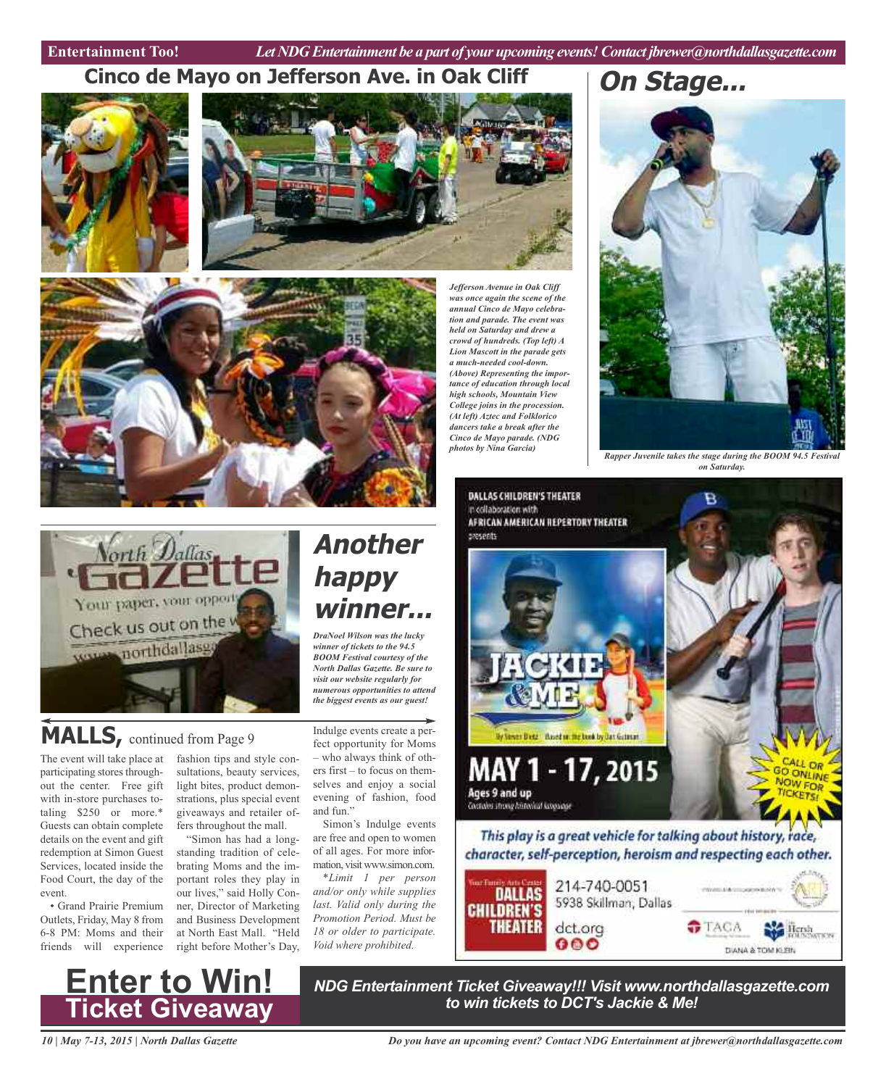Entertainment Too! *Let NDG Entertainment be a part of your upcoming events! Contact jbrewer@northdallasgazette.com* 

*Jefferson Avenue in Oak Cliff was once again the scene of the annual Cinco de Mayo celebration and parade. The event was held on Saturday and drew a crowd of hundreds. (Top left) A Lion Mascott in the parade gets a much-needed cool-down. (Above) Representing the importance of education through local high schools, Mountain View College joins in the procession. (At left) Aztec and Folklorico dancers take a break after the Cinco de Mayo parade. (NDG photos by Nina Garcia)*

### **Cinco de Mayo on Jefferson Ave. in Oak Cliff**







Vorth Dallas Your paper, your oppo Check us out on the w vorms northdallasg

# **MALLS,** continued from Page <sup>9</sup>

The event will take place at participating stores throughout the center. Free gift with in-store purchases totaling \$250 or more.\* Guests can obtain complete details on the event and gift redemption at Simon Guest Services, located inside the Food Court, the day of the event.

• Grand Prairie Premium Outlets, Friday, May 8 from 6-8 PM: Moms and their friends will experience

fashion tips and style consultations, beauty services, light bites, product demonstrations, plus special event giveaways and retailer offers throughout the mall.

"Simon has had a longstanding tradition of celebrating Moms and the important roles they play in our lives," said Holly Conner, Director of Marketing and Business Development at North East Mall. "Held right before Mother's Day, *North Dallas Gazette. Be sure to visit our website regularly for numerous opportunities to attend the biggest events as our guest!* Indulge events create a perfect opportunity for Moms – who always think of others first – to focus on themselves and enjoy a social

*DraNoel Wilson was the lucky winner of tickets to the 94.5 BOOM Festival courtesy of the*

**winner...**

**Another**

**happy**

evening of fashion, food and fun." Simon's Indulge events are free and open to women of all ages. For more infor-

mation, visit www.simon.com. *\*Limit 1 per person and/or only while supplies last. Valid only during the Promotion Period. Must be 18 or older to participate. Void where prohibited.*

**On Stage...**



*Rapper Juvenile takes the stage during the BOOM 94.5 Festival on Saturday.*



*NDG Entertainment Ticket Giveaway!!! Visit www.northdallasgazette.com to win tickets to DCT's Jackie & Me!* **Enter to Win! Ticket Giveaway**

*10 | May 7-13, 2015 | North Dallas Gazette*

*Do you have an upcoming event? Contact NDG Entertainment at jbrewer@northdallasgazette.com*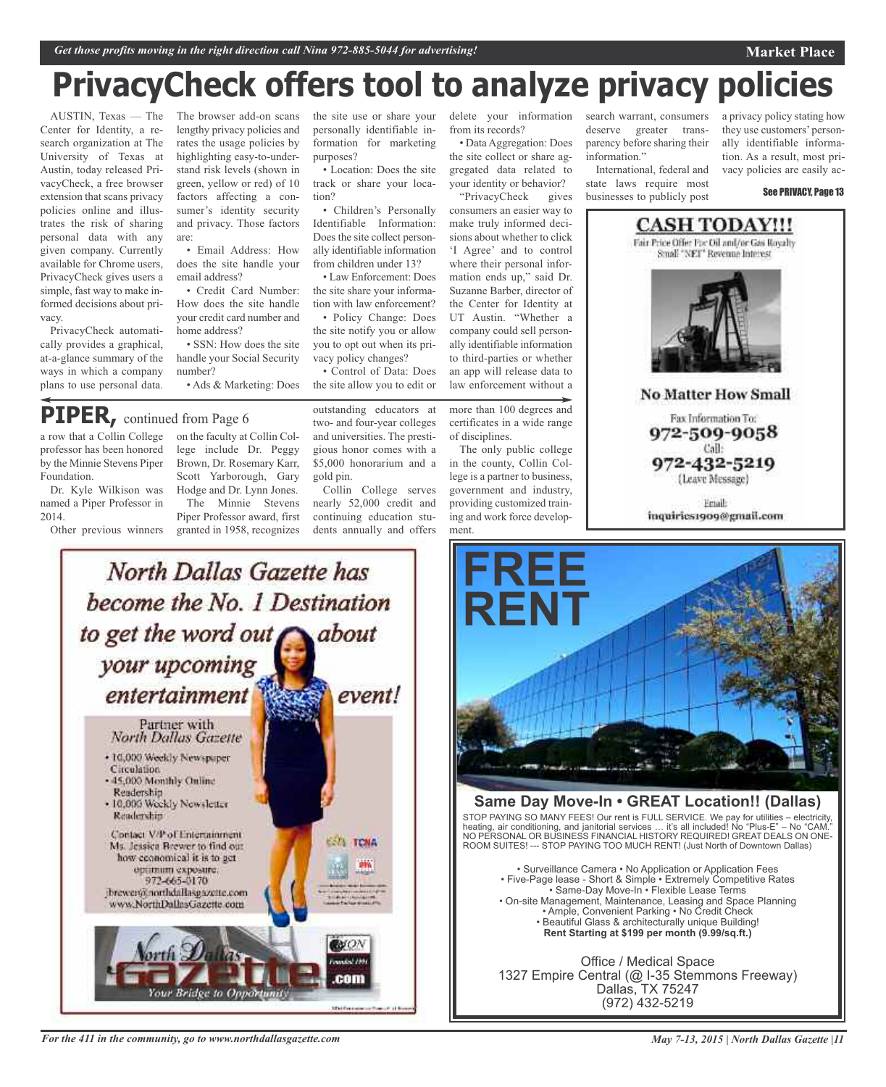# **PrivacyCheck offers tool to analyze privacy policies**

AUSTIN, Texas — The Center for Identity, a research organization at The University of Texas at Austin, today released PrivacyCheck, a free browser extension that scans privacy policies online and illustrates the risk of sharing personal data with any given company. Currently available for Chrome users, PrivacyCheck gives users a simple, fast way to make informed decisions about privacy.

PrivacyCheck automatically provides a graphical, at-a-glance summary of the ways in which a company plans to use personal data.

The browser add-on scans lengthy privacy policies and rates the usage policies by highlighting easy-to-understand risk levels (shown in green, yellow or red) of 10 factors affecting a consumer's identity security and privacy. Those factors are:

• Email Address: How does the site handle your email address?

• Credit Card Number: How does the site handle your credit card number and home address?

• SSN: How does the site handle your Social Security number?

• Ads & Marketing: Does

# **PIPER,** continued from Page <sup>6</sup>

a row that a Collin College professor has been honored by the Minnie Stevens Piper Foundation.

Dr. Kyle Wilkison was named a Piper Professor in 2014.

Other previous winners

on the faculty at Collin College include Dr. Peggy Brown, Dr. Rosemary Karr, Scott Yarborough, Gary Hodge and Dr. Lynn Jones. The Minnie Stevens

Piper Professor award, first granted in 1958, recognizes the site use or share your personally identifiable information for marketing purposes?

• Location: Does the site track or share your location?

• Children's Personally Identifiable Information: Does the site collect personally identifiable information from children under 13?

• Law Enforcement: Does the site share your information with law enforcement?

• Policy Change: Does the site notify you or allow you to opt out when its privacy policy changes?

• Control of Data: Does the site allow you to edit or

outstanding educators at two- and four-year colleges and universities. The prestigious honor comes with a \$5,000 honorarium and a gold pin.

Collin College serves nearly 52,000 credit and continuing education students annually and offers

delete your information from its records? • Data Aggregation: Does

the site collect or share aggregated data related to your identity or behavior?<br>
"PrivacyCheck gives" "PrivacyCheck

consumers an easier way to make truly informed decisions about whether to click 'I Agree' and to control where their personal information ends up," said Dr. Suzanne Barber, director of the Center for Identity at UT Austin. "Whether a company could sell personally identifiable information to third-parties or whether an app will release data to law enforcement without a

more than 100 degrees and certificates in a wide range of disciplines.

The only public college in the county, Collin College is a partner to business, government and industry, providing customized training and work force development.

search warrant, consumers deserve greater transparency before sharing their information."

International, federal and state laws require most businesses to publicly post

a privacy policy stating how they use customers' personally identifiable information. As a result, most privacy policies are easily ac-

**Market Place**

See PRIVACY, Page 13



**No Matter How Small** 

Fax Information To: 972-509-9058 Call:

972-432-5219 (Leave Message)

Friail: inquiries1909@gmail.com



*For the 411 in the community, go to www.northdallasgazette.com*



#### **Same Day Move-In • GREAT Location!! (Dallas)**

STOP PAYING SO MANY FEES! Our rent is FULL SERVICE. We pay for utilities – electricity, heating, air conditioning, and janitorial services … it's all included! No "Plus-E" – No "CAM." NO PERSONAL OR BUSINESS FINANCIAL HISTORY REQUIRED! GREAT DEALS ON ONE-ROOM SUITES! --- STOP PAYING TOO MUCH RENT! (Just North of Downtown Dallas)

• Surveillance Camera • No Application or Application Fees • Five-Page lease - Short & Simple • Extremely Competitive Rates • Same-Day Move-In • Flexible Lease Terms • On-site Management, Maintenance, Leasing and Space Planning • Ample, Convenient Parking • No Credit Check • Beautiful Glass & architecturally unique Building! **Rent Starting at \$199 per month (9.99/sq.ft.)**

Office / Medical Space 1327 Empire Central (@ I-35 Stemmons Freeway) Dallas, TX 75247 (972) 432-5219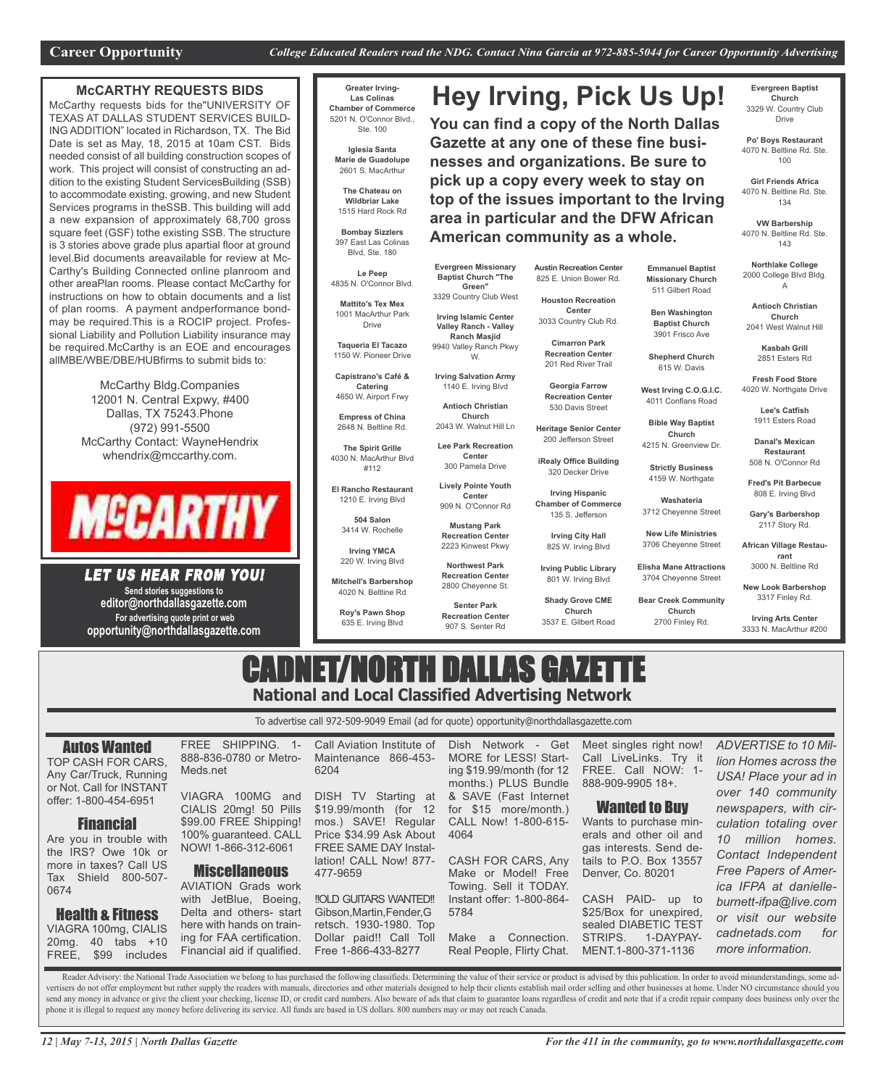**Hey Irving, Pick Us Up!**

**You can find a copy of the North Dallas Gazette at any one of these fine businesses and organizations. Be sure to pick up a copy every week to stay on top of the issues important to the Irving area in particular and the DFW African**

#### **McCARTHY REQUESTS BIDS**

McCarthy requests bids for the"UNIVERSITY OF TEXAS AT DALLAS STUDENT SERVICES BUILD-ING ADDITION" located in Richardson, TX. The Bid Date is set as May, 18, 2015 at 10am CST. Bids needed consist of all building construction scopes of work. This project will consist of constructing an addition to the existing Student ServicesBuilding (SSB) to accommodate existing, growing, and new Student Services programs in theSSB. This building will add a new expansion of approximately 68,700 gross square feet (GSF) tothe existing SSB. The structure is 3 stories above grade plus apartial floor at ground level.Bid documents areavailable for review at Mc-Carthy's Building Connected online planroom and other areaPlan rooms. Please contact McCarthy for instructions on how to obtain documents and a list of plan rooms. A payment andperformance bondmay be required.This is a ROCIP project. Professional Liability and Pollution Liability insurance may be required.McCarthy is an EOE and encourages allMBE/WBE/DBE/HUBfirms to submit bids to:

> McCarthy Bldg.Companies 12001 N. Central Expwy, #400 Dallas, TX 75243.Phone (972) 991-5500 McCarthy Contact: WayneHendrix whendrix@mccarthy.com.



LET US HEAR FROM YOU! **Send stories suggestions to editor@northdallasgazette.com**

**For advertising quote print or web opportunity@northdallasgazette.com**

**Greater Irving-Las Colinas Chamber of Commerce** 5201 N. O'Connor Blvd., Ste. 100

> **Iglesia Santa Marie de Guadolupe** 2601 S. MacArthur

**The Chateau on Wildbriar Lake** 1515 Hard Rock Rd

**Bombay Sizzlers** 397 East Las Colinas Blvd, Ste. 180

**Le Peep** 4835 N. O'Connor Blvd. **Mattito's Tex Mex**

1001 MacArthur Park Drive

**Taqueria El Tacazo** 1150 W. Pioneer Drive

**Capistrano's Café & Catering** 4650 W. Airport Frwy

**Empress of China** 2648 N. Beltline Rd.

**The Spirit Grille** 4030 N. MacArthur Blvd #112

**El Rancho Restaurant**

1210 E. Irving Blvd **504 Salon** 3414 W. Rochelle

**Irving YMCA** 220 W. Irving Blvd

**Mitchell's Barbershop** 4020 N. Beltline Rd

**Roy's Pawn Shop** 635 E. Irving Blvd

**Austin Recreation Center** 825 E. Union Bower Rd.

**American community as a whole.**

**Houston Recreation Center** 3033 Country Club Rd.

**Cimarron Park**

201 Red River Trail

530 Davis Street

200 Jefferson Street

320 Decker Drive

**Chamber of Commerce**

**Church** 3537 E. Gilbert Road

**Evergreen Baptist Church** 3329 W. Country Club Drive

**Po' Boys Restaurant** 4070 N. Beltline Rd. Ste. 100

**Girl Friends Africa** 4070 N. Beltline Rd. Ste. 134

**VW Barbership** 4070 N. Beltline Rd. Ste. 143

**Northlake College** 2000 College Blvd Bldg. A

**Emmanuel Baptist Missionary Church** 511 Gilbert Road **Ben Washington Baptist Church** 3901 Frisco Ave

**Shepherd Church** 615 W. Davis **West Irving C.O.G.I.C.** 4011 Conflans Road **Bible Way Baptist Church** 4215 N. Greenview Dr.

**Strictly Business** 4159 W. Northgate **Washateria** 3712 Cheyenne Street **New Life Ministries** 3706 Cheyenne Street **Elisha Mane Attractions** 3704 Cheyenne Street **Bear Creek Community Church** 2700 Finley Rd.

**Antioch Christian Church** 2041 West Walnut Hill

**Kasbah Grill** 2851 Esters Rd

**Fresh Food Store** 4020 W. Northgate Drive

> **Lee's Catfish** 1911 Esters Road

**Danal's Mexican Restaurant** 508 N. O'Connor Rd

**Fred's Pit Barbecue** 808 E. Irving Blvd

**Gary's Barbershop** 2117 Story Rd.

**African Village Restaurant** 3000 N. Beltline Rd

**New Look Barbershop** 3317 Finley Rd.

**Irving Arts Center** 3333 N. MacArthur #200

# CADNET/NORTH DALLAS GAZETTE **National and Local Classified Advertising Network**

To advertise call 972-509-9049 Email (ad for quote) opportunity@northdallasgazette.com

Autos Wanted

TOP CASH FOR CARS, Any Car/Truck, Running or Not. Call for INSTANT offer: 1-800-454-6951

#### Financial

Are you in trouble with the IRS? Owe 10k or more in taxes? Call US Tax Shield 800-507- 0674

#### Health & Fitness

VIAGRA 100mg, CIALIS 20mg. 40 tabs +10 FREE, \$99 includes

VIAGRA 100MG and CIALIS 20mg! 50 Pills \$99.00 FREE Shipping! 100% guaranteed. CALL NOW! 1-866-312-6061

Meds.net

FREE SHIPPING. 1- 888-836-0780 or Metro-

Miscellaneous

AVIATION Grads work with JetBlue, Boeing, Delta and others- start here with hands on training for FAA certification. Financial aid if qualified.

Call Aviation Institute of Maintenance 866-453- 6204

DISH TV Starting at \$19.99/month (for 12 mos.) SAVE! Regular Price \$34.99 Ask About FREE SAME DAY Installation! CALL Now! 877- 477-9659

!!OLD GUITARS WANTED!! Gibson,Martin,Fender,G retsch. 1930-1980. Top Dollar paid!! Call Toll Free 1-866-433-8277

Dish Network - Get MORE for LESS! Starting \$19.99/month (for 12 months.) PLUS Bundle & SAVE (Fast Internet for \$15 more/month.) CALL Now! 1-800-615- 4064 CASH FOR CARS, Any

Make or Model! Free Towing. Sell it TODAY. Instant offer: 1-800-864- 5784 Make a Connection. Real People, Flirty Chat.

Meet singles right now! Call LiveLinks. Try it FREE. Call NOW: 1- 888-909-9905 18+.

#### Wanted to Buy

Wants to purchase minerals and other oil and gas interests. Send details to P.O. Box 13557 Denver, Co. 80201

CASH PAID- up to \$25/Box for unexpired, sealed DIABETIC TEST STRIPS. 1-DAYPAY-MENT.1-800-371-1136

*ADVERTISE to 10 Million Homes across the USA! Place your ad in over 140 community newspapers, with circulation totaling over 10 million homes. Contact Independent Free Papers of America IFPA at danielleburnett-ifpa@live.com or visit our website cadnetads.com for more information.*

Reader Advisory: the National Trade Association we belong to has purchased the following classifieds. Determining the value of their service or product is advised by this publication. In order to avoid misunderstandings, s vertisers do not offer employment but rather supply the readers with manuals, directories and other materials designed to help their clients establish mail order selling and other businesses at home. Under NO circumstance send any money in advance or give the client your checking, license ID, or credit card numbers. Also beware of ads that claim to guarantee loans regardless of credit and note that if a credit repair company does business o phone it is illegal to request any money before delivering its service. All funds are based in US dollars. 800 numbers may or may not reach Canada.

**Antioch Christian Church** 2043 W. Walnut Hill Ln **Lee Park Recreation Center** 300 Pamela Drive

**Lively Pointe Youth** 909 N. O'Connor Rd

**Mustang Park Recreation Center** 2223 Kinwest Pkwy

**Shady Grove CME**

9940 Valley Ranch Pkwy **Irving Salvation Army** 1140 E. Irving Blvd **Recreation Center Georgia Farrow Recreation Center**

**Evergreen Missionary Baptist Church "The Green"** 3329 Country Club West **Irving Islamic Center Valley Ranch - Valley Ranch Masjid**

W.

**Center**

**Senter Park Recreation Center** 907 S. Senter Rd

**Heritage Senior Center**

**iRealy Office Building**

**Irving Hispanic** 135 S. Jefferson

**Irving City Hall**

 Cheyenne St. W. Irving Blvd **Irving Public Library** W. Irving Blvd

# **Northwest Park Recreation Center**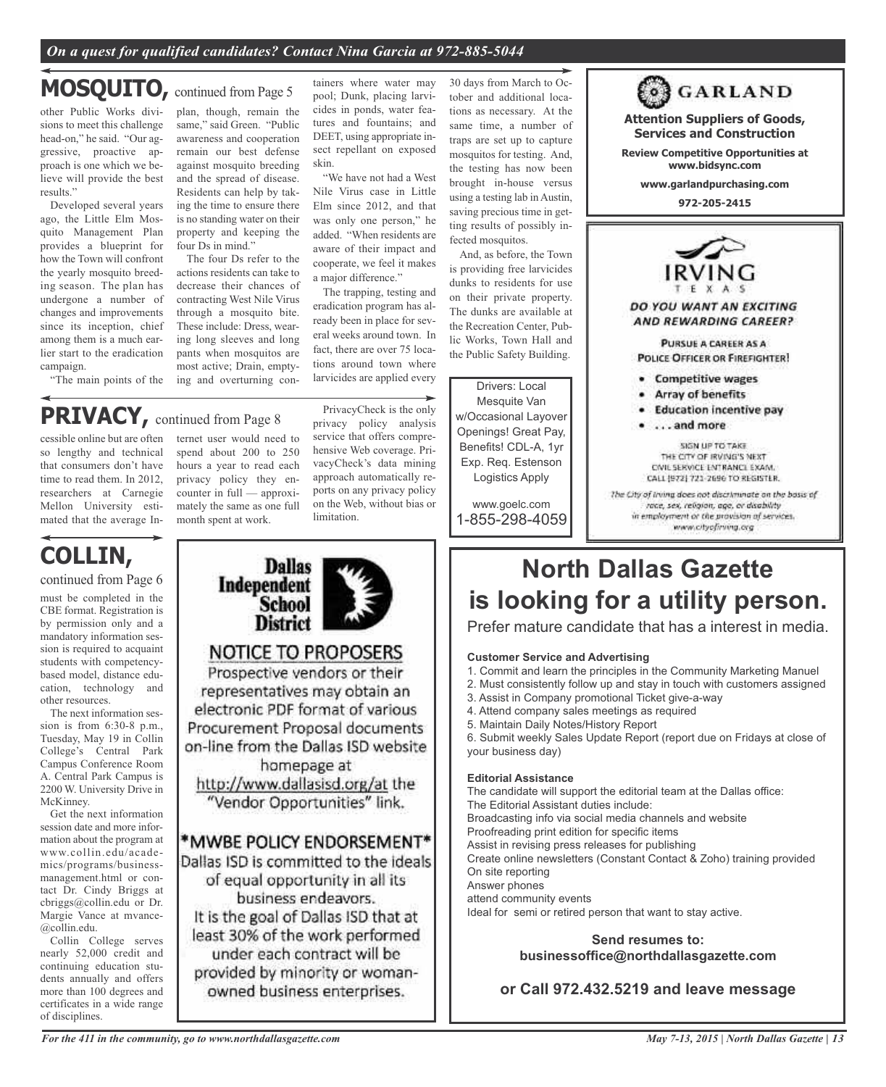#### *On a quest for qualified candidates? Contact Nina Garcia at 972-885-5044*

### **MOSQUITO,** continued from Page <sup>5</sup>

other Public Works divisions to meet this challenge head-on," he said. "Our aggressive, proactive approach is one which we believe will provide the best results."

Developed several years ago, the Little Elm Mosquito Management Plan provides a blueprint for how the Town will confront the yearly mosquito breeding season. The plan has undergone a number of changes and improvements since its inception, chief among them is a much earlier start to the eradication campaign.

"The main points of the

cessible online but are often so lengthy and technical that consumers don't have time to read them. In 2012, researchers at Carnegie Mellon University estimated that the average In-

plan, though, remain the same," said Green. "Public awareness and cooperation remain our best defense against mosquito breeding and the spread of disease. Residents can help by taking the time to ensure there is no standing water on their property and keeping the four Ds in mind."

The four Ds refer to the actions residents can take to decrease their chances of contracting West Nile Virus through a mosquito bite. These include: Dress, wearing long sleeves and long pants when mosquitos are most active; Drain, emptying and overturning containers where water may pool; Dunk, placing larvicides in ponds, water features and fountains; and DEET, using appropriate insect repellant on exposed skin.

"We have not had a West Nile Virus case in Little Elm since 2012, and that was only one person," he added. "When residents are aware of their impact and cooperate, we feel it makes a major difference."

The trapping, testing and eradication program has already been in place for several weeks around town. In fact, there are over 75 locations around town where larvicides are applied every

tober and additional locations as necessary. At the same time, a number of traps are set up to capture mosquitos for testing. And, the testing has now been brought in-house versus using a testing lab in Austin, saving precious time in getting results of possibly infected mosquitos.

30 days from March to Oc-

And, as before, the Town is providing free larvicides dunks to residents for use on their private property. The dunks are available at the Recreation Center, Public Works, Town Hall and the Public Safety Building.

#### Drivers: Local

Mesquite Van w/Occasional Layover Openings! Great Pay, Benefits! CDL-A, 1yr Exp. Req. Estenson Logistics Apply

www.goelc.com 1-855-298-4059

**972-205-2415** DO YOU WANT AN EXCITING AND REWARDING CAREER? PURSUE A CAREER AS A POLICE OFFICER OR FIREFIGHTER! · Competitive wages • Array of benefits

**Attention Suppliers of Goods, Services and Construction Review Competitive Opportunities at www.bidsync.com www.garlandpurchasing.com**

**of GARLAND** 

- · Education incentive pay
- . . . . and more

SIGN UP TO TAKE THE CITY OF IRVING'S NEXT. CIVIL SERVICE ENTRANCE EXAM. CALL (972) 721-2696 TO REGISTER. The City of Irving does not discriminate on the basis of

race, sex, religion, age, or disability in employment or the provision of services. www.cityofirving.org

# **COLLIN,**

must be completed in the CBE format. Registration is by permission only and a mandatory information session is required to acquaint students with competencybased model, distance education, technology and other resources. continued from Page 6

The next information session is from 6:30-8 p.m., Tuesday, May 19 in Collin College's Central Park Campus Conference Room A. Central Park Campus is 2200 W. University Drive in McKinney.

Get the next information session date and more information about the program at www.collin.edu/academics/programs/businessmanagement.html or contact Dr. Cindy Briggs at cbriggs@collin.edu or Dr. Margie Vance at mvance- @collin.edu.

Collin College serves nearly 52,000 credit and continuing education students annually and offers more than 100 degrees and certificates in a wide range of disciplines.

ternet user would need to spend about 200 to 250 hours a year to read each privacy policy they encounter in full — approximately the same as one full month spent at work. **PRIVACY,** continued from Page <sup>8</sup>

**Dallas** 

**School** District

**NOTICE TO PROPOSERS** Prospective vendors or their representatives may obtain an electronic PDF format of various Procurement Proposal documents on-line from the Dallas ISD website homepage at http://www.dallasisd.org/at the "Vendor Opportunities" link.

\*MWBE POLICY ENDORSEMENT\* Dallas ISD is committed to the ideals of equal opportunity in all its business endeavors. It is the goal of Dallas ISD that at least 30% of the work performed under each contract will be provided by minority or womanowned business enterprises.

Independent

PrivacyCheck is the only privacy policy analysis service that offers comprehensive Web coverage. PrivacyCheck's data mining approach automatically reports on any privacy policy on the Web, without bias or limitation.

# **North Dallas Gazette is looking for a utility person.**

Prefer mature candidate that has a interest in media.

#### **Customer Service and Advertising**

- 1. Commit and learn the principles in the Community Marketing Manuel
- 2. Must consistently follow up and stay in touch with customers assigned
- 3. Assist in Company promotional Ticket give-a-way
- 4. Attend company sales meetings as required
- 5. Maintain Daily Notes/History Report

6. Submit weekly Sales Update Report (report due on Fridays at close of your business day)

#### **Editorial Assistance**

The candidate will support the editorial team at the Dallas office: The Editorial Assistant duties include: Broadcasting info via social media channels and website Proofreading print edition for specific items Assist in revising press releases for publishing Create online newsletters (Constant Contact & Zoho) training provided On site reporting Answer phones attend community events Ideal for semi or retired person that want to stay active.

> **Send resumes to: businessoffice@northdallasgazette.com**

**or Call 972.432.5219 and leave message**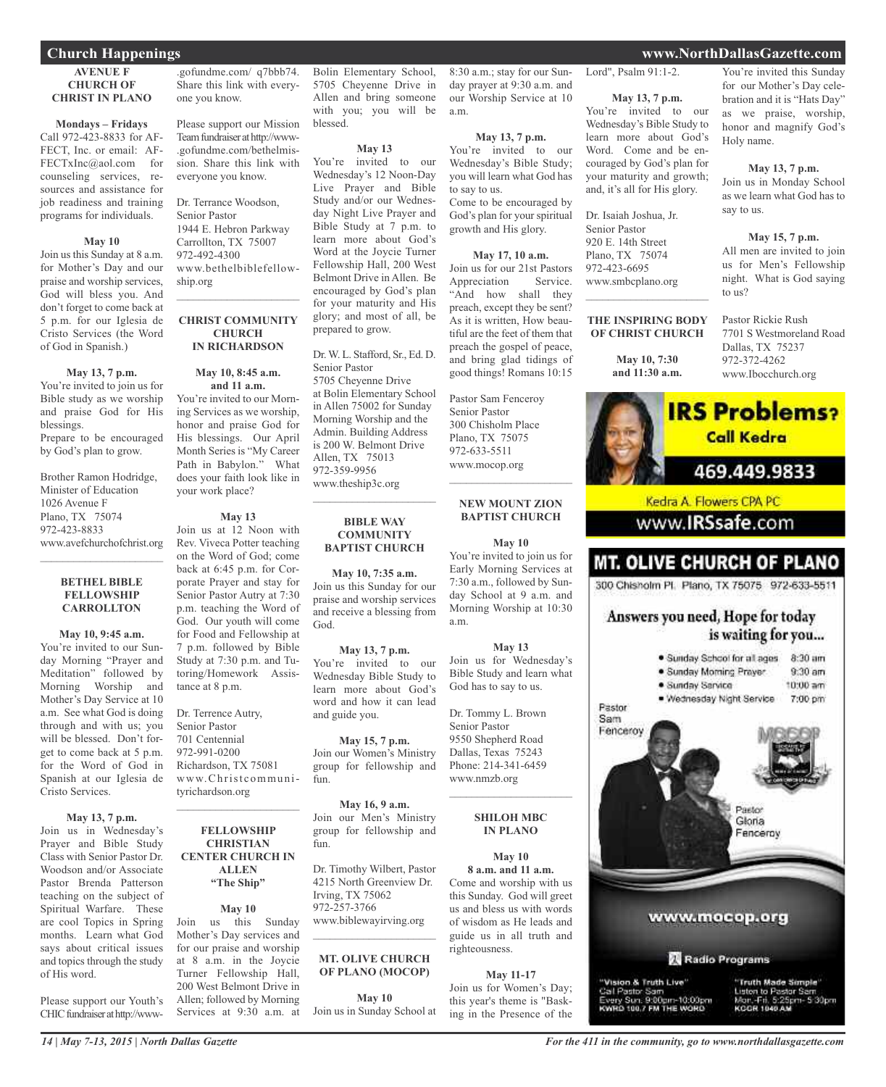#### **Church Happenings www.NorthDallasGazette.com**

#### **AVENUE F CHURCH OF CHRIST IN PLANO**

**Mondays – Fridays** Call 972-423-8833 for AF-FECT, Inc. or email: AF-FECTxInc@aol.com for counseling services, resources and assistance for

job readiness and training programs for individuals.

#### **May 10**

Join us this Sunday at 8 a.m. for Mother's Day and our praise and worship services, God will bless you. And don't forget to come back at 5 p.m. for our Iglesia de Cristo Services (the Word of God in Spanish.)

**May 13, 7 p.m.** You're invited to join us for Bible study as we worship and praise God for His blessings. Prepare to be encouraged

by God's plan to grow.

Brother Ramon Hodridge, Minister of Education 1026 Avenue F Plano, TX 75074 972-423-8833 www.avefchurchofchrist.org

#### **BETHEL BIBLE FELLOWSHIP CARROLLTON**

 $\mathcal{L}_\text{max}$  , which is a set of the set of the set of the set of the set of the set of the set of the set of the set of the set of the set of the set of the set of the set of the set of the set of the set of the set of

#### **May 10, 9:45 a.m.**

You're invited to our Sunday Morning "Prayer and Meditation" followed by Morning Worship and Mother's Day Service at 10 a.m. See what God is doing through and with us; you will be blessed. Don't forget to come back at 5 p.m. for the Word of God in Spanish at our Iglesia de Cristo Services.

#### **May 13, 7 p.m.**

Join us in Wednesday's Prayer and Bible Study Class with Senior Pastor Dr. Woodson and/or Associate Pastor Brenda Patterson teaching on the subject of Spiritual Warfare. These are cool Topics in Spring months. Learn what God says about critical issues and topics through the study of His word.

Please support our Youth's CHIC fundraiser at http://www-

.gofundme.com/ q7bbb74. Share this link with everyone you know.

Please support our Mission Teamfundraiserathttp://www- .gofundme.com/bethelmission. Share this link with everyone you know.

Dr. Terrance Woodson, Senior Pastor 1944 E. Hebron Parkway Carrollton, TX 75007 972-492-4300 www.bethelbiblefellowship.org  $\mathcal{L}_\text{max}$  and  $\mathcal{L}_\text{max}$  and  $\mathcal{L}_\text{max}$ 

#### **CHRIST COMMUNITY CHURCH IN RICHARDSON**

### **May 10, 8:45 a.m.**

**and 11 a.m.** You're invited to our Morning Services as we worship, honor and praise God for His blessings. Our April Month Series is "My Career Path in Babylon." What does your faith look like in your work place?

#### **May 13**

Join us at 12 Noon with Rev. Viveca Potter teaching on the Word of God; come back at 6:45 p.m. for Corporate Prayer and stay for Senior Pastor Autry at 7:30 p.m. teaching the Word of God. Our youth will come for Food and Fellowship at 7 p.m. followed by Bible Study at 7:30 p.m. and Tutoring/Homework Assistance at 8 p.m.

Dr. Terrence Autry, Senior Pastor 701 Centennial 972-991-0200 Richardson, TX 75081 www.Christcommunityrichardson.org

#### **FELLOWSHIP CHRISTIAN CENTER CHURCH IN ALLEN "The Ship"**

 $\mathcal{L}_\text{max}$  and  $\mathcal{L}_\text{max}$  and  $\mathcal{L}_\text{max}$ 

#### **May 10**

Join us this Sunday Mother's Day services and for our praise and worship at 8 a.m. in the Joycie Turner Fellowship Hall, 200 West Belmont Drive in Allen; followed by Morning Services at 9:30 a.m. at Bolin Elementary School, 5705 Cheyenne Drive in Allen and bring someone with you; you will be blessed.

#### **May 13**

You're invited to our Wednesday's 12 Noon-Day Live Prayer and Bible Study and/or our Wednesday Night Live Prayer and Bible Study at 7 p.m. to learn more about God's Word at the Joycie Turner Fellowship Hall, 200 West Belmont Drive in Allen. Be encouraged by God's plan for your maturity and His glory; and most of all, be prepared to grow.

#### Dr.W. L. Stafford, Sr., Ed. D. Senior Pastor 5705 Cheyenne Drive at Bolin Elementary School in Allen 75002 for Sunday Morning Worship and the Admin. Building Address is 200 W. Belmont Drive Allen, TX 75013 972-359-9956 www.theship3c.org

#### **BIBLE WAY COMMUNITY BAPTIST CHURCH**

 $\overline{\phantom{a}}$  , and the set of the set of the set of the set of the set of the set of the set of the set of the set of the set of the set of the set of the set of the set of the set of the set of the set of the set of the s

**May 10, 7:35 a.m.** Join us this Sunday for our praise and worship services and receive a blessing from God.

**May 13, 7 p.m.** You're invited to our Wednesday Bible Study to learn more about God's word and how it can lead and guide you.

**May 15, 7 p.m.** Join our Women's Ministry group for fellowship and fun.

**May 16, 9 a.m.** Join our Men's Ministry group for fellowship and fun.

Dr. Timothy Wilbert, Pastor 4215 North Greenview Dr. Irving, TX 75062 972-257-3766 www.biblewayirving.org  $\overline{\phantom{a}}$  , and the set of the set of the set of the set of the set of the set of the set of the set of the set of the set of the set of the set of the set of the set of the set of the set of the set of the set of the s

#### **MT. OLIVE CHURCH OF PLANO (MOCOP)**

**May 10** Join us in Sunday School at

8:30 a.m.; stay for our Sunday prayer at 9:30 a.m. and our Worship Service at 10 a.m.

#### **May 13, 7 p.m.**

You're invited to our Wednesday's Bible Study; you will learn what God has to say to us. Come to be encouraged by God's plan for your spiritual growth and His glory.

**May 17, 10 a.m.** Join us for our 21st Pastors Appreciation Service. "And how shall they preach, except they be sent? As it is written, How beautiful are the feet of them that preach the gospel of peace, and bring glad tidings of good things! Romans 10:15

Pastor Sam Fenceroy Senior Pastor 300 Chisholm Place Plano, TX 75075 972-633-5511 www.mocop.org  $\mathcal{L}=\mathcal{L}^{\mathcal{L}}$  , where  $\mathcal{L}^{\mathcal{L}}$  , we have the set of the set of the set of the set of the set of the set of the set of the set of the set of the set of the set of the set of the set of the set of the set of

#### **NEW MOUNT ZION BAPTIST CHURCH**

**May 10** You're invited to join us for Early Morning Services at 7:30 a.m., followed by Sunday School at 9 a.m. and Morning Worship at 10:30

**May 13** Join us for Wednesday's

Bible Study and learn what God has to say to us.

a.m.

Dr. Tommy L. Brown Senior Pastor 9550 Shepherd Road Dallas, Texas 75243 Phone: 214-341-6459 www.nmzb.org

> **SHILOH MBC IN PLANO**

 $\mathcal{L}$  , and the set of the set of the set of the set of the set of the set of the set of the set of the set of the set of the set of the set of the set of the set of the set of the set of the set of the set of the set

**May 10 8 a.m. and 11 a.m.** Come and worship with us this Sunday. God will greet us and bless us with words of wisdom as He leads and guide us in all truth and righteousness.

**May 11-17** Join us for Women's Day; this year's theme is "Basking in the Presence of the Lord", Psalm 91:1-2.

#### **May 13, 7 p.m.** You're invited to our Wednesday's Bible Study to learn more about God's Word. Come and be en-

couraged by God's plan for your maturity and growth; and, it's all for His glory. Dr. Isaiah Joshua, Jr.

Senior Pastor 920 E. 14th Street Plano, TX 75074 972-423-6695 www.smbcplano.org  $\mathcal{L}_\text{max}$  and  $\mathcal{L}_\text{max}$  and  $\mathcal{L}_\text{max}$ 

#### **THE INSPIRING BODY OF CHRIST CHURCH**

**May 10, 7:30 and 11:30 a.m.**

You're invited this Sunday for our Mother's Day celebration and it is "Hats Day" as we praise, worship, honor and magnify God's Holy name.

#### **May 13, 7 p.m.**

Join us in Monday School as we learn what God has to say to us.

**May 15, 7 p.m.**

All men are invited to join us for Men's Fellowship night. What is God saying to us?

Pastor Rickie Rush 7701 S Westmoreland Road Dallas, TX 75237 972-372-4262 www.Ibocchurch.org

**IRS Problems?** 



Radio Programs

"Vision.& Truth Live" Call Pastor Sam<br>Every Sun: 9:00pm-10:00pm<br>KWRD 100.7 FM THE WORD

'Truth Made Simple' Listen to Pastor San Mon.-Fri. 5:25p -5:30pm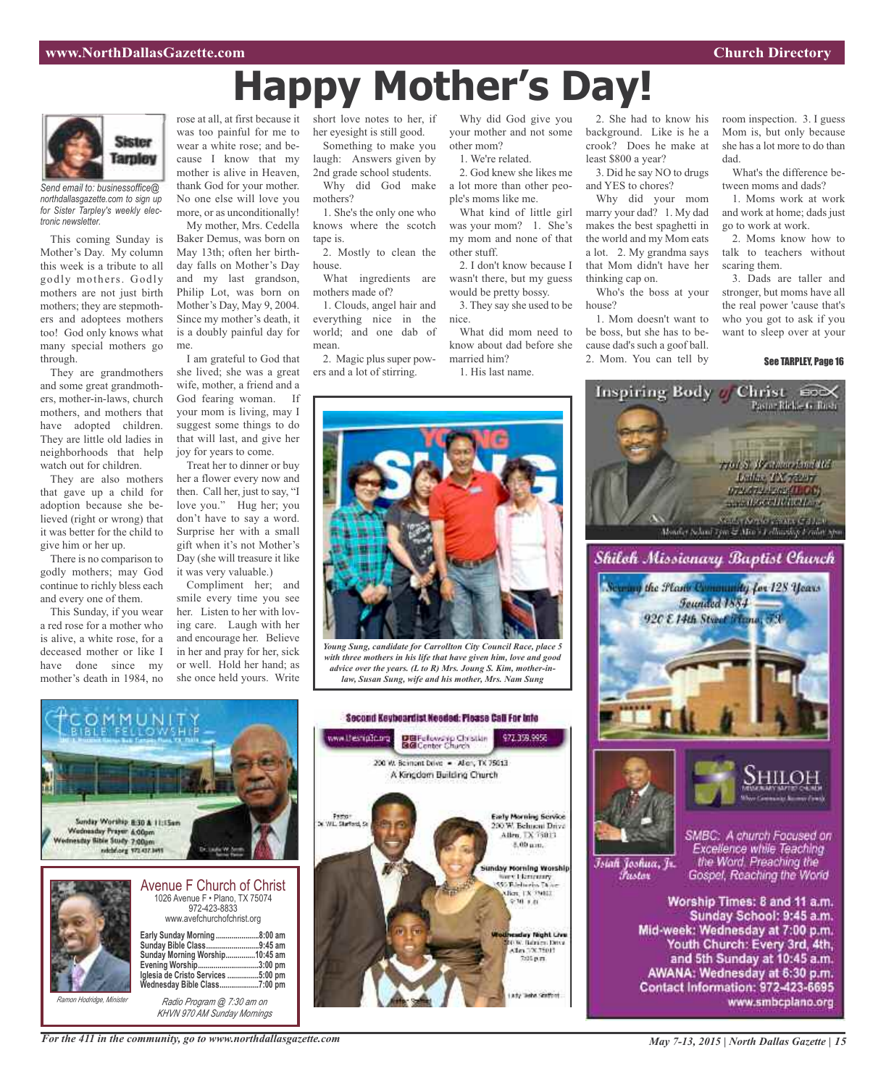# **Happy Mother's Day!**



*Send email to: businessoffice@ northdallasgazette.com to sign up for Sister Tarpley's weekly electronic newsletter.*

This coming Sunday is Mother's Day. My column this week is a tribute to all godly mothers. Godly mothers are not just birth mothers; they are stepmothers and adoptees mothers too! God only knows what many special mothers go through.

They are grandmothers and some great grandmothers, mother-in-laws, church mothers, and mothers that have adopted children. They are little old ladies in neighborhoods that help watch out for children.

They are also mothers that gave up a child for adoption because she believed (right or wrong) that it was better for the child to give him or her up.

There is no comparison to godly mothers; may God continue to richly bless each and every one of them.

This Sunday, if you wear a red rose for a mother who is alive, a white rose, for a deceased mother or like I have done since my mother's death in 1984, no

was too painful for me to wear a white rose; and because I know that my mother is alive in Heaven, thank God for your mother. No one else will love you more, or as unconditionally!

My mother, Mrs. Cedella Baker Demus, was born on May 13th; often her birthday falls on Mother's Day and my last grandson, Philip Lot, was born on Mother's Day, May 9, 2004. Since my mother's death, it is a doubly painful day for me.

I am grateful to God that she lived; she was a great wife, mother, a friend and a God fearing woman. If your mom is living, may I suggest some things to do that will last, and give her joy for years to come.

Treat her to dinner or buy her a flower every now and then. Call her, just to say, "I love you." Hug her; you don't have to say a word. Surprise her with a small gift when it's not Mother's Day (she will treasure it like it was very valuable.)

Compliment her; and smile every time you see her. Listen to her with loving care. Laugh with her and encourage her. Believe in her and pray for her, sick or well. Hold her hand; as she once held yours. Write

rose at all, at first because it short love notes to her, if her eyesight is still good.

> Something to make you laugh: Answers given by 2nd grade school students. Why did God make

> mothers? 1. She's the only one who knows where the scotch tape is.

> 2. Mostly to clean the house.

> What ingredients are mothers made of?

1. Clouds, angel hair and everything nice in the world; and one dab of mean.

2. Magic plus super powers and a lot of stirring.

Why did God give you your mother and not some other mom?

1. We're related.

2. God knew she likes me a lot more than other people's moms like me.

What kind of little girl was your mom? 1. She's my mom and none of that other stuff.

2. I don't know because I wasn't there, but my guess would be pretty bossy.

3. They say she used to be nice. What did mom need to know about dad before she married him?

1. His last name.

2. She had to know his background. Like is he a crook? Does he make at least \$800 a year?

3. Did he say NO to drugs and YES to chores?

Why did your mom marry your dad? 1. My dad makes the best spaghetti in the world and my Mom eats a lot. 2. My grandma says that Mom didn't have her thinking cap on.

Who's the boss at your house?

1. Mom doesn't want to be boss, but she has to because dad's such a goof ball. 2. Mom. You can tell by

Inspiring Body of

room inspection. 3. I guess Mom is, but only because she has a lot more to do than dad.

What's the difference between moms and dads?

1. Moms work at work and work at home; dads just go to work at work.

2. Moms know how to talk to teachers without scaring them.

3. Dads are taller and stronger, but moms have all the real power 'cause that's who you got to ask if you want to sleep over at your

Christ Cox

#### See TARPLEY, Page 16



*Young Sung, candidate for Carrollton City Council Race, place 5 with three mothers in his life that have given him, love and good advice over the years. (L to R) Mrs. Joung S. Kim, mother-inlaw, Susan Sung, wife and his mother, Mrs. Nam Sung*



*Ramon Hodridge, Minister Radio Program @ 7:30 am on*

*KHVN 970 AM Sunday Mornings*





Islah Joshua, Jr. *Pustor* 

Excellence while Teaching<br>the Word, Preaching the Gospel, Reaching the World

Worship Times: 8 and 11 a.m. Sunday School: 9:45 a.m. Mid-week: Wednesday at 7:00 p.m. Youth Church: Every 3rd, 4th, and 5th Sunday at 10:45 a.m. AWANA: Wednesday at 6:30 p.m. Contact Information: 972-423-6695 www.smbcplano.org